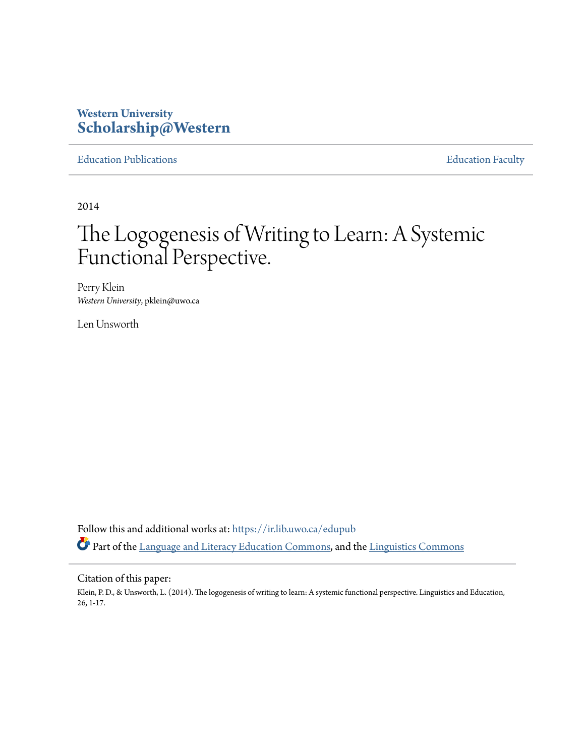## **Western University [Scholarship@Western](https://ir.lib.uwo.ca?utm_source=ir.lib.uwo.ca%2Fedupub%2F11&utm_medium=PDF&utm_campaign=PDFCoverPages)**

[Education Publications](https://ir.lib.uwo.ca/edupub?utm_source=ir.lib.uwo.ca%2Fedupub%2F11&utm_medium=PDF&utm_campaign=PDFCoverPages) **[Education Faculty](https://ir.lib.uwo.ca/edu?utm_source=ir.lib.uwo.ca%2Fedupub%2F11&utm_medium=PDF&utm_campaign=PDFCoverPages)** 

2014

# The Logogenesis of Writing to Learn: A Systemic Functional Perspective.

Perry Klein *Western University*, pklein@uwo.ca

Len Unsworth

Follow this and additional works at: [https://ir.lib.uwo.ca/edupub](https://ir.lib.uwo.ca/edupub?utm_source=ir.lib.uwo.ca%2Fedupub%2F11&utm_medium=PDF&utm_campaign=PDFCoverPages) Part of the [Language and Literacy Education Commons](http://network.bepress.com/hgg/discipline/1380?utm_source=ir.lib.uwo.ca%2Fedupub%2F11&utm_medium=PDF&utm_campaign=PDFCoverPages), and the [Linguistics Commons](http://network.bepress.com/hgg/discipline/371?utm_source=ir.lib.uwo.ca%2Fedupub%2F11&utm_medium=PDF&utm_campaign=PDFCoverPages)

#### Citation of this paper:

Klein, P. D., & Unsworth, L. (2014). The logogenesis of writing to learn: A systemic functional perspective. Linguistics and Education, 26, 1-17.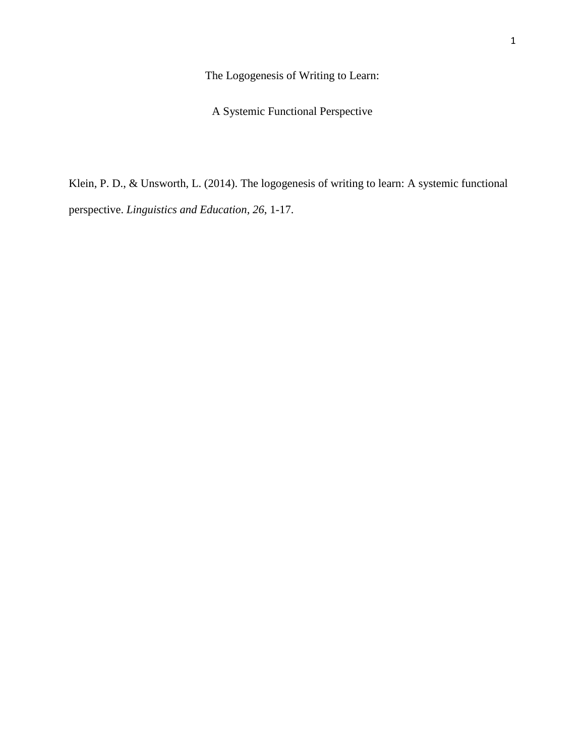The Logogenesis of Writing to Learn:

A Systemic Functional Perspective

Klein, P. D., & Unsworth, L. (2014). The logogenesis of writing to learn: A systemic functional perspective. *Linguistics and Education*, *26*, 1-17.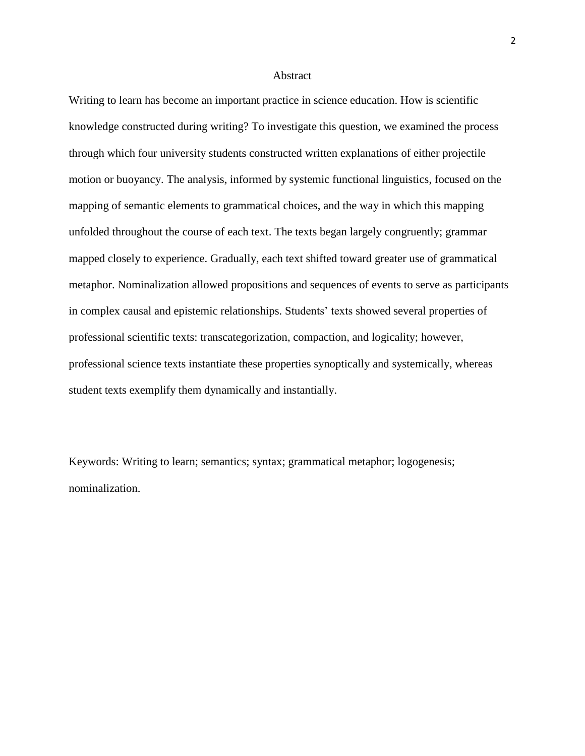#### **Abstract**

Writing to learn has become an important practice in science education. How is scientific knowledge constructed during writing? To investigate this question, we examined the process through which four university students constructed written explanations of either projectile motion or buoyancy. The analysis, informed by systemic functional linguistics, focused on the mapping of semantic elements to grammatical choices, and the way in which this mapping unfolded throughout the course of each text. The texts began largely congruently; grammar mapped closely to experience. Gradually, each text shifted toward greater use of grammatical metaphor. Nominalization allowed propositions and sequences of events to serve as participants in complex causal and epistemic relationships. Students' texts showed several properties of professional scientific texts: transcategorization, compaction, and logicality; however, professional science texts instantiate these properties synoptically and systemically, whereas student texts exemplify them dynamically and instantially.

Keywords: Writing to learn; semantics; syntax; grammatical metaphor; logogenesis; nominalization.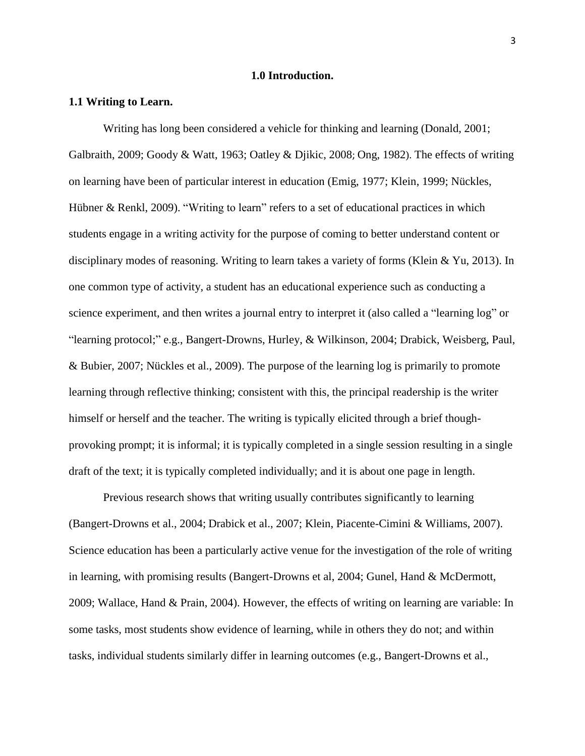#### **1.0 Introduction.**

#### **1.1 Writing to Learn.**

Writing has long been considered a vehicle for thinking and learning (Donald, 2001; Galbraith, 2009; Goody & Watt, 1963; Oatley & Djikic, 2008; Ong, 1982). The effects of writing on learning have been of particular interest in education (Emig, 1977; Klein, 1999; Nückles, Hübner & Renkl, 2009). "Writing to learn" refers to a set of educational practices in which students engage in a writing activity for the purpose of coming to better understand content or disciplinary modes of reasoning. Writing to learn takes a variety of forms (Klein & Yu, 2013). In one common type of activity, a student has an educational experience such as conducting a science experiment, and then writes a journal entry to interpret it (also called a "learning log" or "learning protocol;" e.g., Bangert-Drowns, Hurley, & Wilkinson, 2004; Drabick, Weisberg, Paul, & Bubier, 2007; Nückles et al., 2009). The purpose of the learning log is primarily to promote learning through reflective thinking; consistent with this, the principal readership is the writer himself or herself and the teacher. The writing is typically elicited through a brief thoughprovoking prompt; it is informal; it is typically completed in a single session resulting in a single draft of the text; it is typically completed individually; and it is about one page in length.

Previous research shows that writing usually contributes significantly to learning (Bangert-Drowns et al., 2004; Drabick et al., 2007; Klein, Piacente-Cimini & Williams, 2007). Science education has been a particularly active venue for the investigation of the role of writing in learning, with promising results (Bangert-Drowns et al, 2004; Gunel, Hand & McDermott, 2009; Wallace, Hand & Prain, 2004). However, the effects of writing on learning are variable: In some tasks, most students show evidence of learning, while in others they do not; and within tasks, individual students similarly differ in learning outcomes (e.g., Bangert-Drowns et al.,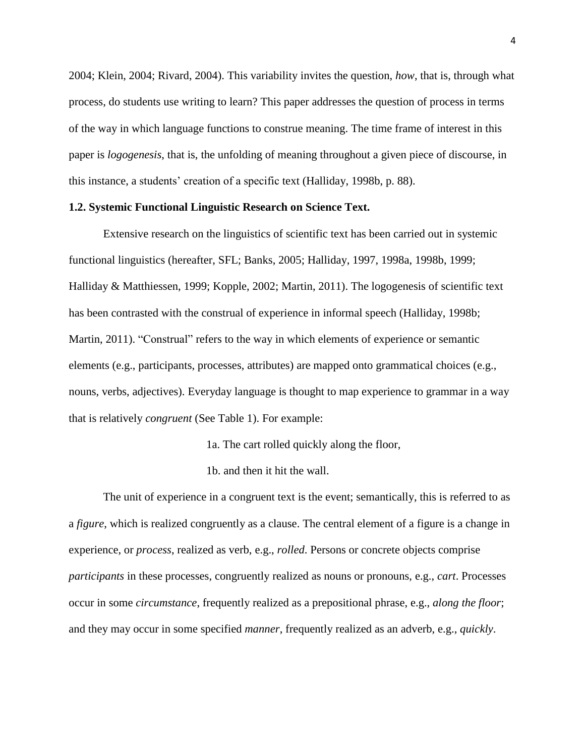2004; Klein, 2004; Rivard, 2004). This variability invites the question, *how*, that is, through what process, do students use writing to learn? This paper addresses the question of process in terms of the way in which language functions to construe meaning. The time frame of interest in this paper is *logogenesis*, that is, the unfolding of meaning throughout a given piece of discourse, in this instance, a students' creation of a specific text (Halliday, 1998b, p. 88).

#### **1.2. Systemic Functional Linguistic Research on Science Text.**

Extensive research on the linguistics of scientific text has been carried out in systemic functional linguistics (hereafter, SFL; Banks, 2005; Halliday, 1997, 1998a, 1998b, 1999; Halliday & Matthiessen, 1999; Kopple, 2002; Martin, 2011). The logogenesis of scientific text has been contrasted with the construal of experience in informal speech (Halliday, 1998b; Martin, 2011). "Construal" refers to the way in which elements of experience or semantic elements (e.g., participants, processes, attributes) are mapped onto grammatical choices (e.g., nouns, verbs, adjectives). Everyday language is thought to map experience to grammar in a way that is relatively *congruent* (See Table 1). For example:

1a. The cart rolled quickly along the floor,

1b. and then it hit the wall.

The unit of experience in a congruent text is the event; semantically, this is referred to as a *figure*, which is realized congruently as a clause. The central element of a figure is a change in experience, or *process*, realized as verb, e.g., *rolled*. Persons or concrete objects comprise *participants* in these processes, congruently realized as nouns or pronouns, e.g., *cart*. Processes occur in some *circumstance*, frequently realized as a prepositional phrase, e.g., *along the floor*; and they may occur in some specified *manner*, frequently realized as an adverb, e.g., *quickly*.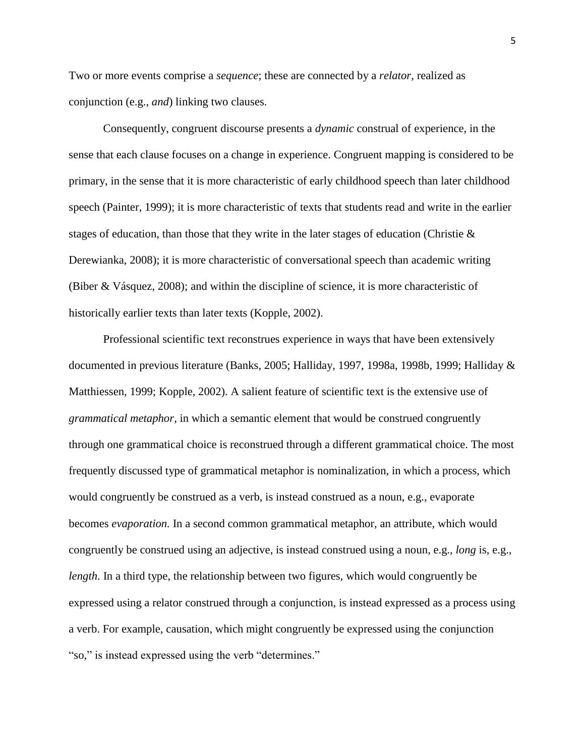Two or more events comprise a *sequence*; these are connected by a *relator*, realized as conjunction (e.g., *and*) linking two clauses.

Consequently, congruent discourse presents a *dynamic* construal of experience, in the sense that each clause focuses on a change in experience. Congruent mapping is considered to be primary, in the sense that it is more characteristic of early childhood speech than later childhood speech (Painter, 1999); it is more characteristic of texts that students read and write in the earlier stages of education, than those that they write in the later stages of education (Christie  $\&$ Derewianka, 2008); it is more characteristic of conversational speech than academic writing (Biber & Vásquez, 2008); and within the discipline of science, it is more characteristic of historically earlier texts than later texts (Kopple, 2002).

Professional scientific text reconstrues experience in ways that have been extensively documented in previous literature (Banks, 2005; Halliday, 1997, 1998a, 1998b, 1999; Halliday & Matthiessen, 1999; Kopple, 2002). A salient feature of scientific text is the extensive use of *grammatical metaphor*, in which a semantic element that would be construed congruently through one grammatical choice is reconstrued through a different grammatical choice. The most frequently discussed type of grammatical metaphor is nominalization, in which a process, which would congruently be construed as a verb, is instead construed as a noun, e.g., evaporate becomes *evaporation.* In a second common grammatical metaphor, an attribute, which would congruently be construed using an adjective, is instead construed using a noun, e.g., *long* is, e.g., *length*. In a third type, the relationship between two figures, which would congruently be expressed using a relator construed through a conjunction, is instead expressed as a process using a verb. For example, causation, which might congruently be expressed using the conjunction "so," is instead expressed using the verb "determines."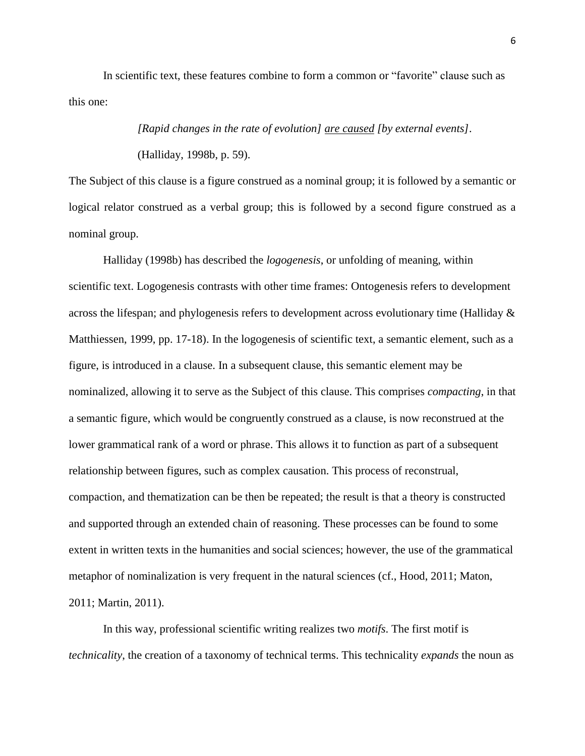In scientific text, these features combine to form a common or "favorite" clause such as this one:

> *[Rapid changes in the rate of evolution] are caused [by external events]*. (Halliday, 1998b, p. 59).

The Subject of this clause is a figure construed as a nominal group; it is followed by a semantic or logical relator construed as a verbal group; this is followed by a second figure construed as a nominal group.

Halliday (1998b) has described the *logogenesis*, or unfolding of meaning, within scientific text. Logogenesis contrasts with other time frames: Ontogenesis refers to development across the lifespan; and phylogenesis refers to development across evolutionary time (Halliday & Matthiessen, 1999, pp. 17-18). In the logogenesis of scientific text, a semantic element, such as a figure, is introduced in a clause. In a subsequent clause, this semantic element may be nominalized, allowing it to serve as the Subject of this clause. This comprises *compacting*, in that a semantic figure, which would be congruently construed as a clause, is now reconstrued at the lower grammatical rank of a word or phrase. This allows it to function as part of a subsequent relationship between figures, such as complex causation. This process of reconstrual, compaction, and thematization can be then be repeated; the result is that a theory is constructed and supported through an extended chain of reasoning. These processes can be found to some extent in written texts in the humanities and social sciences; however, the use of the grammatical metaphor of nominalization is very frequent in the natural sciences (cf., Hood, 2011; Maton, 2011; Martin, 2011).

In this way, professional scientific writing realizes two *motifs*. The first motif is *technicality*, the creation of a taxonomy of technical terms. This technicality *expands* the noun as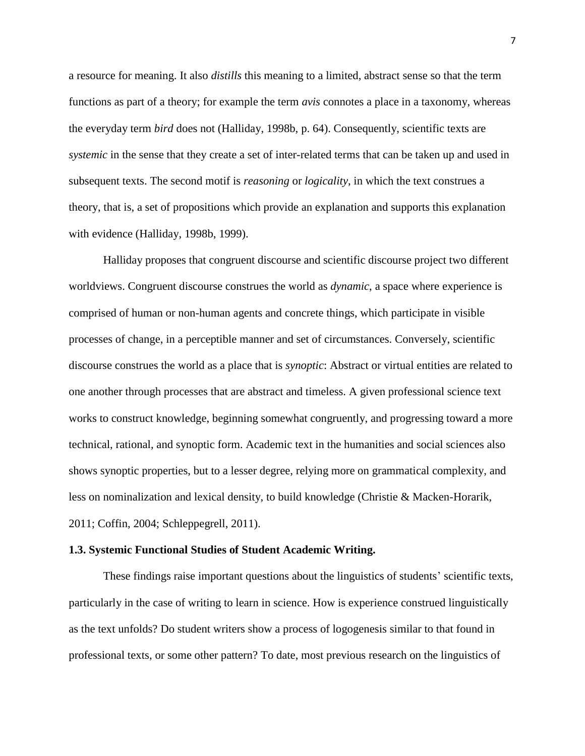a resource for meaning. It also *distills* this meaning to a limited, abstract sense so that the term functions as part of a theory; for example the term *avis* connotes a place in a taxonomy, whereas the everyday term *bird* does not (Halliday, 1998b, p. 64). Consequently, scientific texts are *systemic* in the sense that they create a set of inter-related terms that can be taken up and used in subsequent texts. The second motif is *reasoning* or *logicality*, in which the text construes a theory, that is, a set of propositions which provide an explanation and supports this explanation with evidence (Halliday, 1998b, 1999).

Halliday proposes that congruent discourse and scientific discourse project two different worldviews. Congruent discourse construes the world as *dynamic*, a space where experience is comprised of human or non-human agents and concrete things, which participate in visible processes of change, in a perceptible manner and set of circumstances. Conversely, scientific discourse construes the world as a place that is *synoptic*: Abstract or virtual entities are related to one another through processes that are abstract and timeless. A given professional science text works to construct knowledge, beginning somewhat congruently, and progressing toward a more technical, rational, and synoptic form. Academic text in the humanities and social sciences also shows synoptic properties, but to a lesser degree, relying more on grammatical complexity, and less on nominalization and lexical density, to build knowledge (Christie & Macken-Horarik, 2011; Coffin, 2004; Schleppegrell, 2011).

#### **1.3. Systemic Functional Studies of Student Academic Writing.**

These findings raise important questions about the linguistics of students' scientific texts, particularly in the case of writing to learn in science. How is experience construed linguistically as the text unfolds? Do student writers show a process of logogenesis similar to that found in professional texts, or some other pattern? To date, most previous research on the linguistics of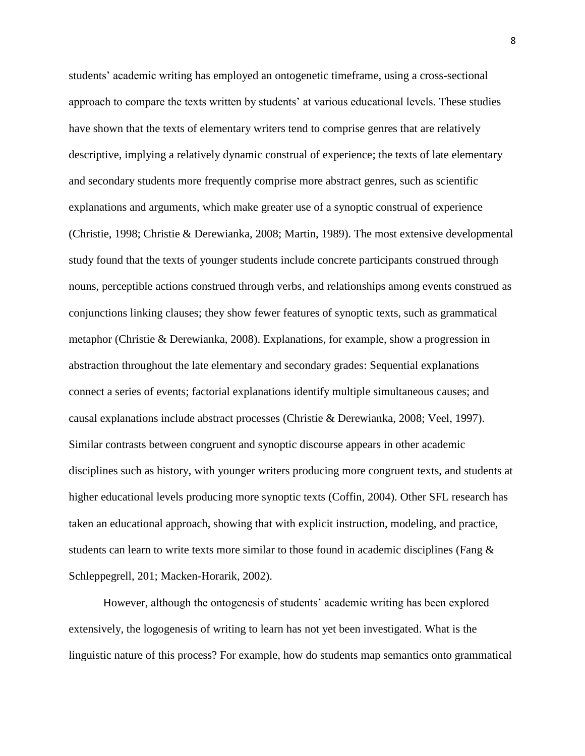students' academic writing has employed an ontogenetic timeframe, using a cross-sectional approach to compare the texts written by students' at various educational levels. These studies have shown that the texts of elementary writers tend to comprise genres that are relatively descriptive, implying a relatively dynamic construal of experience; the texts of late elementary and secondary students more frequently comprise more abstract genres, such as scientific explanations and arguments, which make greater use of a synoptic construal of experience (Christie, 1998; Christie & Derewianka, 2008; Martin, 1989). The most extensive developmental study found that the texts of younger students include concrete participants construed through nouns, perceptible actions construed through verbs, and relationships among events construed as conjunctions linking clauses; they show fewer features of synoptic texts, such as grammatical metaphor (Christie & Derewianka, 2008). Explanations, for example, show a progression in abstraction throughout the late elementary and secondary grades: Sequential explanations connect a series of events; factorial explanations identify multiple simultaneous causes; and causal explanations include abstract processes (Christie & Derewianka, 2008; Veel, 1997). Similar contrasts between congruent and synoptic discourse appears in other academic disciplines such as history, with younger writers producing more congruent texts, and students at higher educational levels producing more synoptic texts (Coffin, 2004). Other SFL research has taken an educational approach, showing that with explicit instruction, modeling, and practice, students can learn to write texts more similar to those found in academic disciplines (Fang & Schleppegrell, 201; Macken-Horarik, 2002).

However, although the ontogenesis of students' academic writing has been explored extensively, the logogenesis of writing to learn has not yet been investigated. What is the linguistic nature of this process? For example, how do students map semantics onto grammatical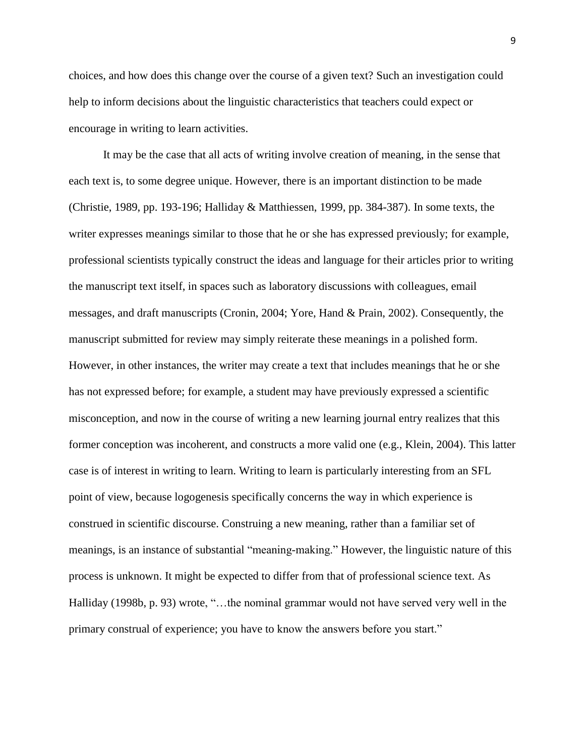choices, and how does this change over the course of a given text? Such an investigation could help to inform decisions about the linguistic characteristics that teachers could expect or encourage in writing to learn activities.

It may be the case that all acts of writing involve creation of meaning, in the sense that each text is, to some degree unique. However, there is an important distinction to be made (Christie, 1989, pp. 193-196; Halliday & Matthiessen, 1999, pp. 384-387). In some texts, the writer expresses meanings similar to those that he or she has expressed previously; for example, professional scientists typically construct the ideas and language for their articles prior to writing the manuscript text itself, in spaces such as laboratory discussions with colleagues, email messages, and draft manuscripts (Cronin, 2004; Yore, Hand & Prain, 2002). Consequently, the manuscript submitted for review may simply reiterate these meanings in a polished form. However, in other instances, the writer may create a text that includes meanings that he or she has not expressed before; for example, a student may have previously expressed a scientific misconception, and now in the course of writing a new learning journal entry realizes that this former conception was incoherent, and constructs a more valid one (e.g., Klein, 2004). This latter case is of interest in writing to learn. Writing to learn is particularly interesting from an SFL point of view, because logogenesis specifically concerns the way in which experience is construed in scientific discourse. Construing a new meaning, rather than a familiar set of meanings, is an instance of substantial "meaning-making." However, the linguistic nature of this process is unknown. It might be expected to differ from that of professional science text. As Halliday (1998b, p. 93) wrote, "…the nominal grammar would not have served very well in the primary construal of experience; you have to know the answers before you start."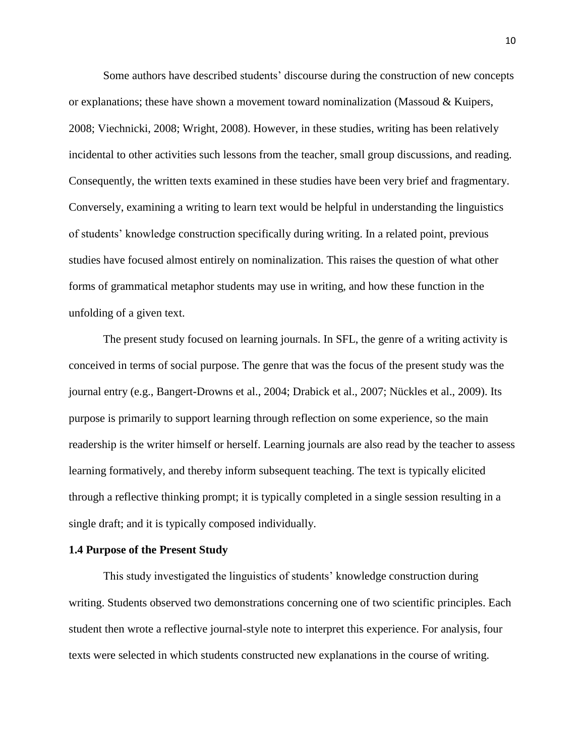Some authors have described students' discourse during the construction of new concepts or explanations; these have shown a movement toward nominalization (Massoud & Kuipers, 2008; Viechnicki, 2008; Wright, 2008). However, in these studies, writing has been relatively incidental to other activities such lessons from the teacher, small group discussions, and reading. Consequently, the written texts examined in these studies have been very brief and fragmentary. Conversely, examining a writing to learn text would be helpful in understanding the linguistics of students' knowledge construction specifically during writing. In a related point, previous studies have focused almost entirely on nominalization. This raises the question of what other forms of grammatical metaphor students may use in writing, and how these function in the unfolding of a given text.

The present study focused on learning journals. In SFL, the genre of a writing activity is conceived in terms of social purpose. The genre that was the focus of the present study was the journal entry (e.g., Bangert-Drowns et al., 2004; Drabick et al., 2007; Nückles et al., 2009). Its purpose is primarily to support learning through reflection on some experience, so the main readership is the writer himself or herself. Learning journals are also read by the teacher to assess learning formatively, and thereby inform subsequent teaching. The text is typically elicited through a reflective thinking prompt; it is typically completed in a single session resulting in a single draft; and it is typically composed individually.

#### **1.4 Purpose of the Present Study**

This study investigated the linguistics of students' knowledge construction during writing. Students observed two demonstrations concerning one of two scientific principles. Each student then wrote a reflective journal-style note to interpret this experience. For analysis, four texts were selected in which students constructed new explanations in the course of writing.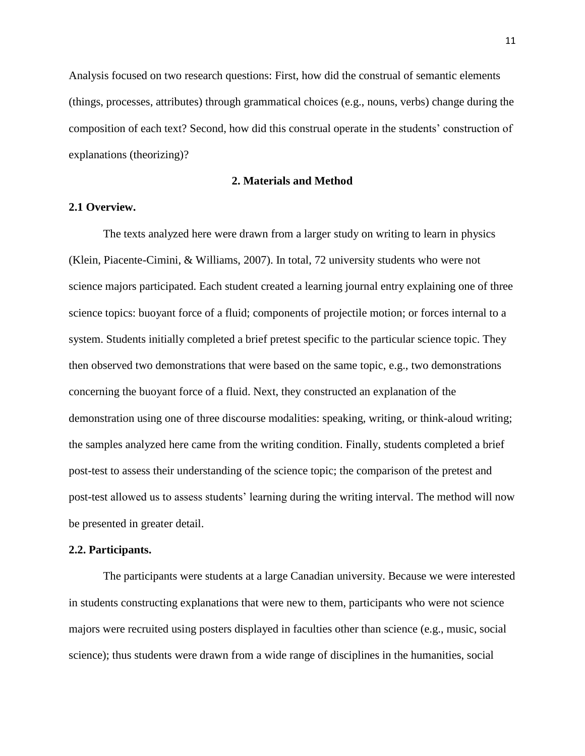Analysis focused on two research questions: First, how did the construal of semantic elements (things, processes, attributes) through grammatical choices (e.g., nouns, verbs) change during the composition of each text? Second, how did this construal operate in the students' construction of explanations (theorizing)?

#### **2. Materials and Method**

#### **2.1 Overview.**

The texts analyzed here were drawn from a larger study on writing to learn in physics (Klein, Piacente-Cimini, & Williams, 2007). In total, 72 university students who were not science majors participated. Each student created a learning journal entry explaining one of three science topics: buoyant force of a fluid; components of projectile motion; or forces internal to a system. Students initially completed a brief pretest specific to the particular science topic. They then observed two demonstrations that were based on the same topic, e.g., two demonstrations concerning the buoyant force of a fluid. Next, they constructed an explanation of the demonstration using one of three discourse modalities: speaking, writing, or think-aloud writing; the samples analyzed here came from the writing condition. Finally, students completed a brief post-test to assess their understanding of the science topic; the comparison of the pretest and post-test allowed us to assess students' learning during the writing interval. The method will now be presented in greater detail.

#### **2.2. Participants.**

The participants were students at a large Canadian university. Because we were interested in students constructing explanations that were new to them, participants who were not science majors were recruited using posters displayed in faculties other than science (e.g., music, social science); thus students were drawn from a wide range of disciplines in the humanities, social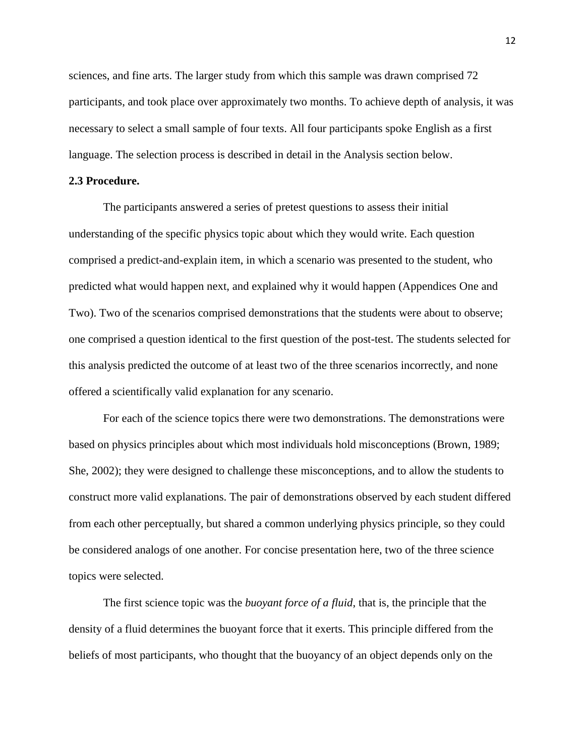sciences, and fine arts. The larger study from which this sample was drawn comprised 72 participants, and took place over approximately two months. To achieve depth of analysis, it was necessary to select a small sample of four texts. All four participants spoke English as a first language. The selection process is described in detail in the Analysis section below.

#### **2.3 Procedure.**

The participants answered a series of pretest questions to assess their initial understanding of the specific physics topic about which they would write. Each question comprised a predict-and-explain item, in which a scenario was presented to the student, who predicted what would happen next, and explained why it would happen (Appendices One and Two). Two of the scenarios comprised demonstrations that the students were about to observe; one comprised a question identical to the first question of the post-test. The students selected for this analysis predicted the outcome of at least two of the three scenarios incorrectly, and none offered a scientifically valid explanation for any scenario.

For each of the science topics there were two demonstrations. The demonstrations were based on physics principles about which most individuals hold misconceptions (Brown, 1989; She, 2002); they were designed to challenge these misconceptions, and to allow the students to construct more valid explanations. The pair of demonstrations observed by each student differed from each other perceptually, but shared a common underlying physics principle, so they could be considered analogs of one another. For concise presentation here, two of the three science topics were selected.

The first science topic was the *buoyant force of a fluid*, that is, the principle that the density of a fluid determines the buoyant force that it exerts. This principle differed from the beliefs of most participants, who thought that the buoyancy of an object depends only on the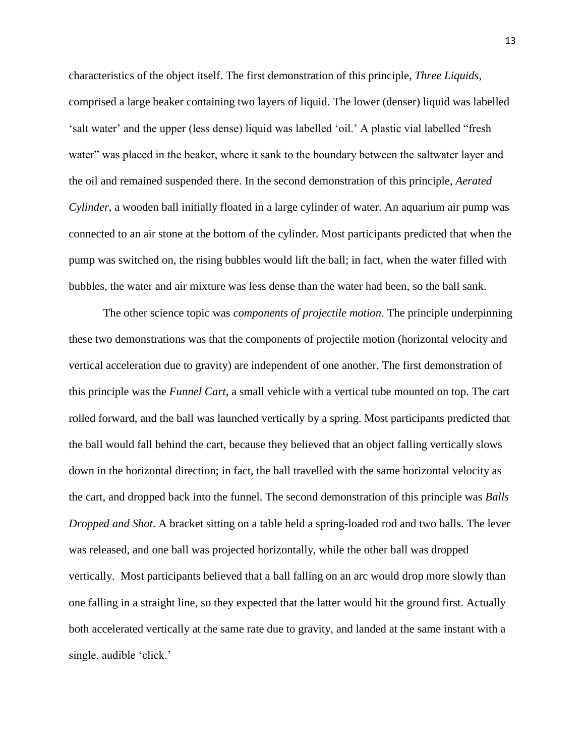characteristics of the object itself. The first demonstration of this principle, *Three Liquids*, comprised a large beaker containing two layers of liquid. The lower (denser) liquid was labelled 'salt water' and the upper (less dense) liquid was labelled 'oil.' A plastic vial labelled "fresh water" was placed in the beaker, where it sank to the boundary between the saltwater layer and the oil and remained suspended there. In the second demonstration of this principle, *Aerated Cylinder*, a wooden ball initially floated in a large cylinder of water. An aquarium air pump was connected to an air stone at the bottom of the cylinder. Most participants predicted that when the pump was switched on, the rising bubbles would lift the ball; in fact, when the water filled with bubbles, the water and air mixture was less dense than the water had been, so the ball sank.

The other science topic was *components of projectile motion*. The principle underpinning these two demonstrations was that the components of projectile motion (horizontal velocity and vertical acceleration due to gravity) are independent of one another. The first demonstration of this principle was the *Funnel Cart*, a small vehicle with a vertical tube mounted on top. The cart rolled forward, and the ball was launched vertically by a spring. Most participants predicted that the ball would fall behind the cart, because they believed that an object falling vertically slows down in the horizontal direction; in fact, the ball travelled with the same horizontal velocity as the cart, and dropped back into the funnel. The second demonstration of this principle was *Balls Dropped and Shot*. A bracket sitting on a table held a spring-loaded rod and two balls. The lever was released, and one ball was projected horizontally, while the other ball was dropped vertically. Most participants believed that a ball falling on an arc would drop more slowly than one falling in a straight line, so they expected that the latter would hit the ground first. Actually both accelerated vertically at the same rate due to gravity, and landed at the same instant with a single, audible 'click.'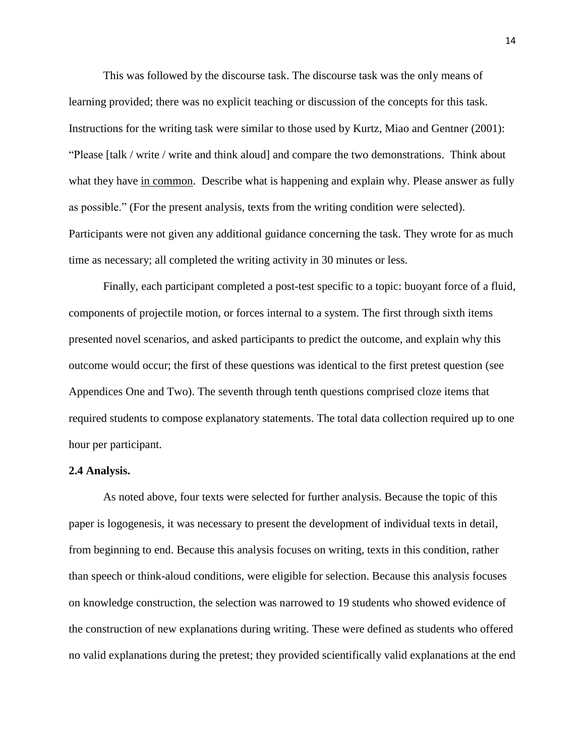This was followed by the discourse task. The discourse task was the only means of learning provided; there was no explicit teaching or discussion of the concepts for this task. Instructions for the writing task were similar to those used by Kurtz, Miao and Gentner (2001): "Please [talk / write / write and think aloud] and compare the two demonstrations. Think about what they have in common. Describe what is happening and explain why. Please answer as fully as possible." (For the present analysis, texts from the writing condition were selected). Participants were not given any additional guidance concerning the task. They wrote for as much time as necessary; all completed the writing activity in 30 minutes or less.

Finally, each participant completed a post-test specific to a topic: buoyant force of a fluid, components of projectile motion, or forces internal to a system. The first through sixth items presented novel scenarios, and asked participants to predict the outcome, and explain why this outcome would occur; the first of these questions was identical to the first pretest question (see Appendices One and Two). The seventh through tenth questions comprised cloze items that required students to compose explanatory statements. The total data collection required up to one hour per participant.

#### **2.4 Analysis.**

As noted above, four texts were selected for further analysis. Because the topic of this paper is logogenesis, it was necessary to present the development of individual texts in detail, from beginning to end. Because this analysis focuses on writing, texts in this condition, rather than speech or think-aloud conditions, were eligible for selection. Because this analysis focuses on knowledge construction, the selection was narrowed to 19 students who showed evidence of the construction of new explanations during writing. These were defined as students who offered no valid explanations during the pretest; they provided scientifically valid explanations at the end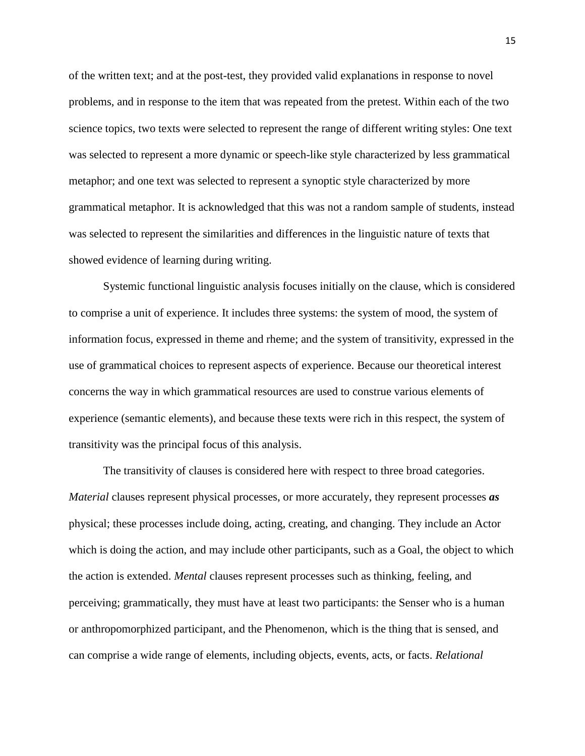of the written text; and at the post-test, they provided valid explanations in response to novel problems, and in response to the item that was repeated from the pretest. Within each of the two science topics, two texts were selected to represent the range of different writing styles: One text was selected to represent a more dynamic or speech-like style characterized by less grammatical metaphor; and one text was selected to represent a synoptic style characterized by more grammatical metaphor. It is acknowledged that this was not a random sample of students, instead was selected to represent the similarities and differences in the linguistic nature of texts that showed evidence of learning during writing.

Systemic functional linguistic analysis focuses initially on the clause, which is considered to comprise a unit of experience. It includes three systems: the system of mood, the system of information focus, expressed in theme and rheme; and the system of transitivity, expressed in the use of grammatical choices to represent aspects of experience. Because our theoretical interest concerns the way in which grammatical resources are used to construe various elements of experience (semantic elements), and because these texts were rich in this respect, the system of transitivity was the principal focus of this analysis.

The transitivity of clauses is considered here with respect to three broad categories. *Material* clauses represent physical processes, or more accurately, they represent processes *as* physical; these processes include doing, acting, creating, and changing. They include an Actor which is doing the action, and may include other participants, such as a Goal, the object to which the action is extended. *Mental* clauses represent processes such as thinking, feeling, and perceiving; grammatically, they must have at least two participants: the Senser who is a human or anthropomorphized participant, and the Phenomenon, which is the thing that is sensed, and can comprise a wide range of elements, including objects, events, acts, or facts. *Relational*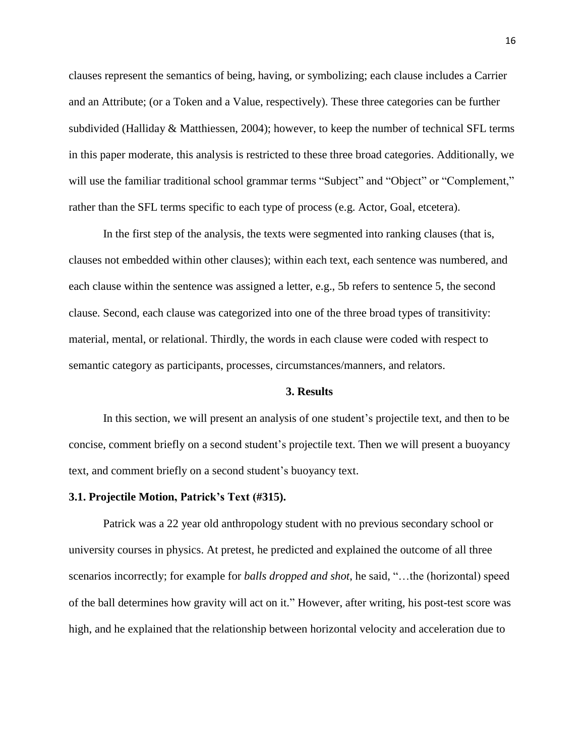clauses represent the semantics of being, having, or symbolizing; each clause includes a Carrier and an Attribute; (or a Token and a Value, respectively). These three categories can be further subdivided (Halliday & Matthiessen, 2004); however, to keep the number of technical SFL terms in this paper moderate, this analysis is restricted to these three broad categories. Additionally, we will use the familiar traditional school grammar terms "Subject" and "Object" or "Complement," rather than the SFL terms specific to each type of process (e.g. Actor, Goal, etcetera).

In the first step of the analysis, the texts were segmented into ranking clauses (that is, clauses not embedded within other clauses); within each text, each sentence was numbered, and each clause within the sentence was assigned a letter, e.g., 5b refers to sentence 5, the second clause. Second, each clause was categorized into one of the three broad types of transitivity: material, mental, or relational. Thirdly, the words in each clause were coded with respect to semantic category as participants, processes, circumstances/manners, and relators.

#### **3. Results**

In this section, we will present an analysis of one student's projectile text, and then to be concise, comment briefly on a second student's projectile text. Then we will present a buoyancy text, and comment briefly on a second student's buoyancy text.

#### **3.1. Projectile Motion, Patrick's Text (#315).**

Patrick was a 22 year old anthropology student with no previous secondary school or university courses in physics. At pretest, he predicted and explained the outcome of all three scenarios incorrectly; for example for *balls dropped and shot*, he said, "…the (horizontal) speed of the ball determines how gravity will act on it." However, after writing, his post-test score was high, and he explained that the relationship between horizontal velocity and acceleration due to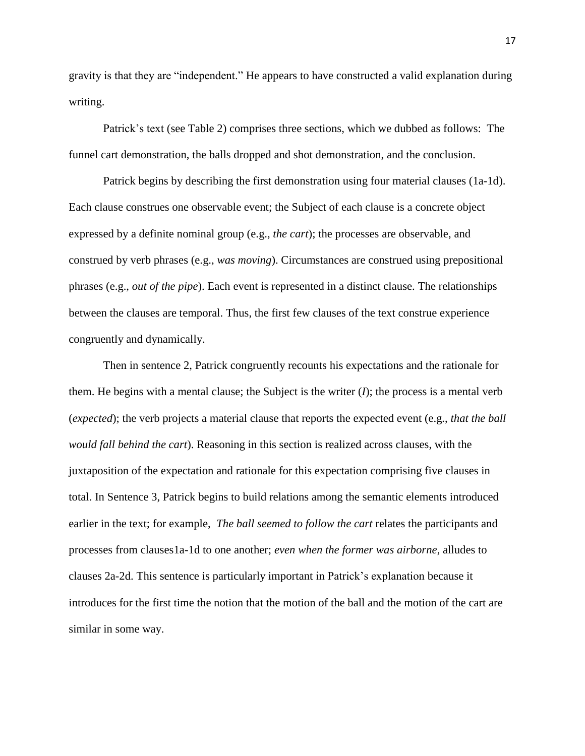gravity is that they are "independent." He appears to have constructed a valid explanation during writing.

Patrick's text (see Table 2) comprises three sections, which we dubbed as follows: The funnel cart demonstration, the balls dropped and shot demonstration, and the conclusion.

Patrick begins by describing the first demonstration using four material clauses (1a-1d). Each clause construes one observable event; the Subject of each clause is a concrete object expressed by a definite nominal group (e.g., *the cart*); the processes are observable, and construed by verb phrases (e.g., *was moving*). Circumstances are construed using prepositional phrases (e.g., *out of the pipe*). Each event is represented in a distinct clause. The relationships between the clauses are temporal. Thus, the first few clauses of the text construe experience congruently and dynamically.

Then in sentence 2, Patrick congruently recounts his expectations and the rationale for them. He begins with a mental clause; the Subject is the writer  $(I)$ ; the process is a mental verb (*expected*); the verb projects a material clause that reports the expected event (e.g., *that the ball would fall behind the cart*). Reasoning in this section is realized across clauses, with the juxtaposition of the expectation and rationale for this expectation comprising five clauses in total. In Sentence 3, Patrick begins to build relations among the semantic elements introduced earlier in the text; for example, *The ball seemed to follow the cart* relates the participants and processes from clauses1a-1d to one another; *even when the former was airborne*, alludes to clauses 2a-2d. This sentence is particularly important in Patrick's explanation because it introduces for the first time the notion that the motion of the ball and the motion of the cart are similar in some way.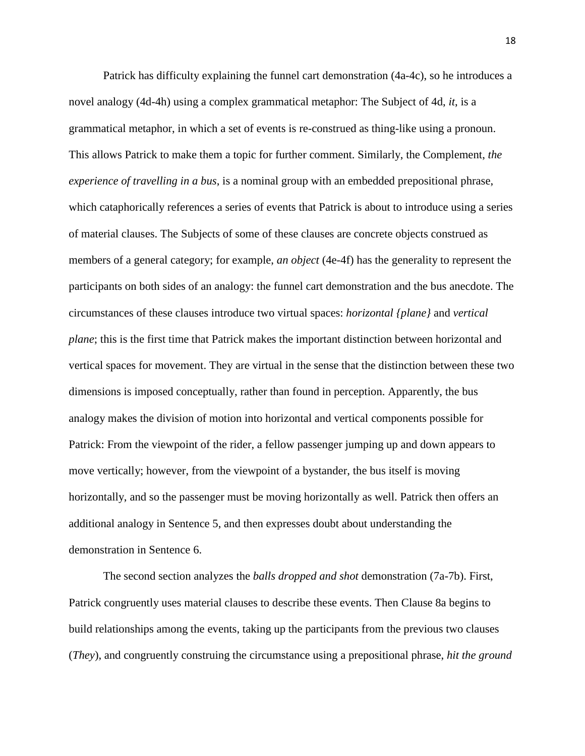Patrick has difficulty explaining the funnel cart demonstration (4a-4c), so he introduces a novel analogy (4d-4h) using a complex grammatical metaphor: The Subject of 4d, *it*, is a grammatical metaphor, in which a set of events is re-construed as thing-like using a pronoun. This allows Patrick to make them a topic for further comment. Similarly, the Complement, *the experience of travelling in a bus*, is a nominal group with an embedded prepositional phrase, which cataphorically references a series of events that Patrick is about to introduce using a series of material clauses. The Subjects of some of these clauses are concrete objects construed as members of a general category; for example, *an object* (4e-4f) has the generality to represent the participants on both sides of an analogy: the funnel cart demonstration and the bus anecdote. The circumstances of these clauses introduce two virtual spaces: *horizontal {plane}* and *vertical plane*; this is the first time that Patrick makes the important distinction between horizontal and vertical spaces for movement. They are virtual in the sense that the distinction between these two dimensions is imposed conceptually, rather than found in perception. Apparently, the bus analogy makes the division of motion into horizontal and vertical components possible for Patrick: From the viewpoint of the rider, a fellow passenger jumping up and down appears to move vertically; however, from the viewpoint of a bystander, the bus itself is moving horizontally, and so the passenger must be moving horizontally as well. Patrick then offers an additional analogy in Sentence 5, and then expresses doubt about understanding the demonstration in Sentence 6.

The second section analyzes the *balls dropped and shot* demonstration (7a-7b). First, Patrick congruently uses material clauses to describe these events. Then Clause 8a begins to build relationships among the events, taking up the participants from the previous two clauses (*They*), and congruently construing the circumstance using a prepositional phrase, *hit the ground*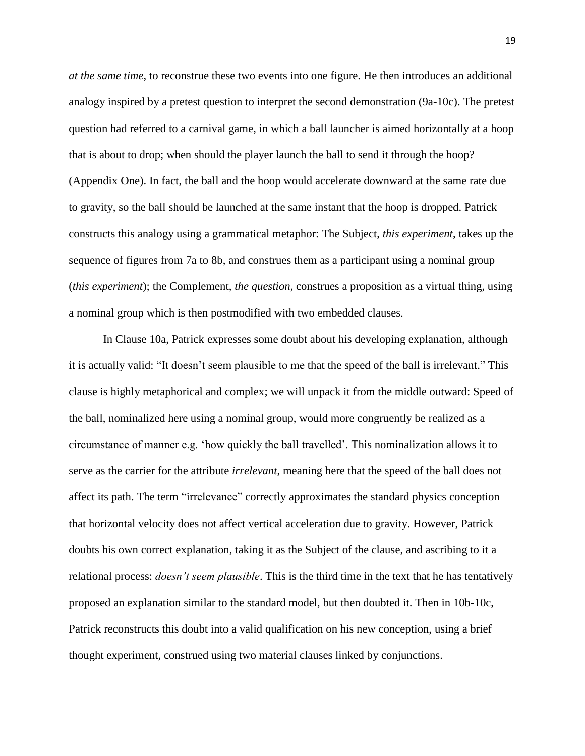*at the same time*, to reconstrue these two events into one figure. He then introduces an additional analogy inspired by a pretest question to interpret the second demonstration (9a-10c). The pretest question had referred to a carnival game, in which a ball launcher is aimed horizontally at a hoop that is about to drop; when should the player launch the ball to send it through the hoop? (Appendix One). In fact, the ball and the hoop would accelerate downward at the same rate due to gravity, so the ball should be launched at the same instant that the hoop is dropped. Patrick constructs this analogy using a grammatical metaphor: The Subject, *this experiment*, takes up the sequence of figures from 7a to 8b, and construes them as a participant using a nominal group (*this experiment*); the Complement, *the question*, construes a proposition as a virtual thing, using a nominal group which is then postmodified with two embedded clauses.

In Clause 10a, Patrick expresses some doubt about his developing explanation, although it is actually valid: "It doesn't seem plausible to me that the speed of the ball is irrelevant." This clause is highly metaphorical and complex; we will unpack it from the middle outward: Speed of the ball, nominalized here using a nominal group, would more congruently be realized as a circumstance of manner e.g. 'how quickly the ball travelled'. This nominalization allows it to serve as the carrier for the attribute *irrelevant*, meaning here that the speed of the ball does not affect its path. The term "irrelevance" correctly approximates the standard physics conception that horizontal velocity does not affect vertical acceleration due to gravity. However, Patrick doubts his own correct explanation, taking it as the Subject of the clause, and ascribing to it a relational process: *doesn't seem plausible*. This is the third time in the text that he has tentatively proposed an explanation similar to the standard model, but then doubted it. Then in 10b-10c, Patrick reconstructs this doubt into a valid qualification on his new conception, using a brief thought experiment, construed using two material clauses linked by conjunctions.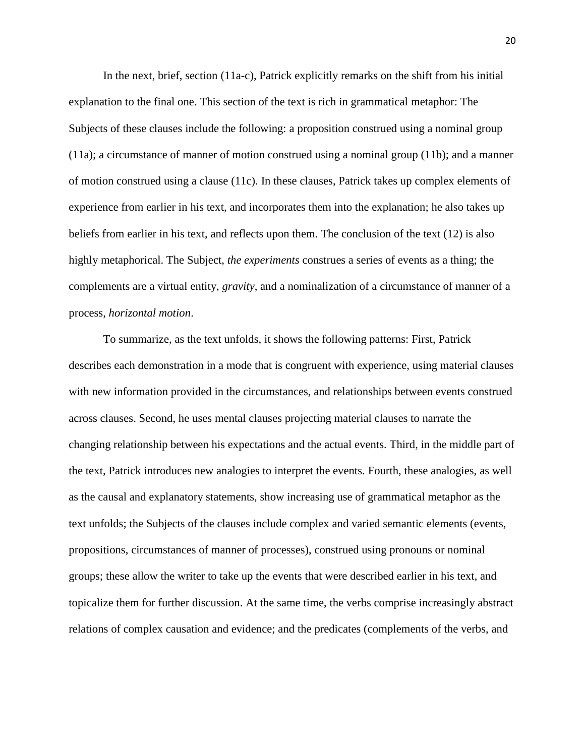In the next, brief, section (11a-c), Patrick explicitly remarks on the shift from his initial explanation to the final one. This section of the text is rich in grammatical metaphor: The Subjects of these clauses include the following: a proposition construed using a nominal group (11a); a circumstance of manner of motion construed using a nominal group (11b); and a manner of motion construed using a clause (11c). In these clauses, Patrick takes up complex elements of experience from earlier in his text, and incorporates them into the explanation; he also takes up beliefs from earlier in his text, and reflects upon them. The conclusion of the text (12) is also highly metaphorical. The Subject, *the experiments* construes a series of events as a thing; the complements are a virtual entity, *gravity*, and a nominalization of a circumstance of manner of a process, *horizontal motion*.

To summarize, as the text unfolds, it shows the following patterns: First, Patrick describes each demonstration in a mode that is congruent with experience, using material clauses with new information provided in the circumstances, and relationships between events construed across clauses. Second, he uses mental clauses projecting material clauses to narrate the changing relationship between his expectations and the actual events. Third, in the middle part of the text, Patrick introduces new analogies to interpret the events. Fourth, these analogies, as well as the causal and explanatory statements, show increasing use of grammatical metaphor as the text unfolds; the Subjects of the clauses include complex and varied semantic elements (events, propositions, circumstances of manner of processes), construed using pronouns or nominal groups; these allow the writer to take up the events that were described earlier in his text, and topicalize them for further discussion. At the same time, the verbs comprise increasingly abstract relations of complex causation and evidence; and the predicates (complements of the verbs, and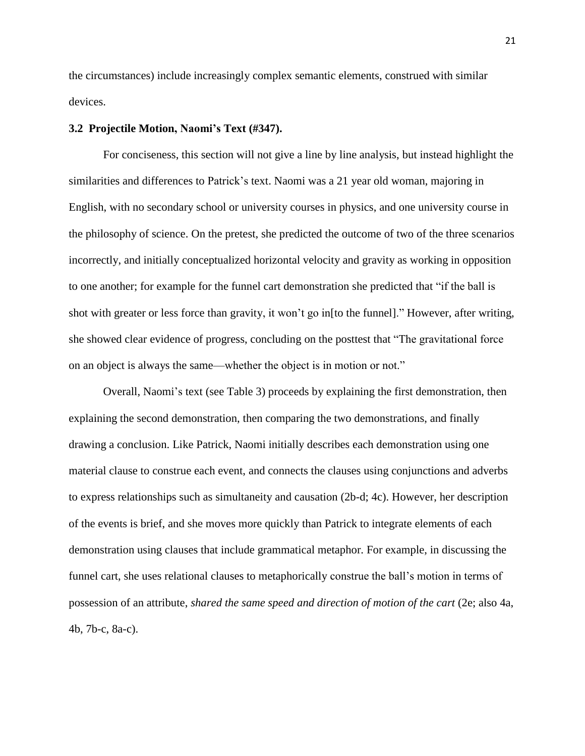the circumstances) include increasingly complex semantic elements, construed with similar devices.

#### **3.2 Projectile Motion, Naomi's Text (#347).**

For conciseness, this section will not give a line by line analysis, but instead highlight the similarities and differences to Patrick's text. Naomi was a 21 year old woman, majoring in English, with no secondary school or university courses in physics, and one university course in the philosophy of science. On the pretest, she predicted the outcome of two of the three scenarios incorrectly, and initially conceptualized horizontal velocity and gravity as working in opposition to one another; for example for the funnel cart demonstration she predicted that "if the ball is shot with greater or less force than gravity, it won't go in[to the funnel]." However, after writing, she showed clear evidence of progress, concluding on the posttest that "The gravitational force on an object is always the same—whether the object is in motion or not."

Overall, Naomi's text (see Table 3) proceeds by explaining the first demonstration, then explaining the second demonstration, then comparing the two demonstrations, and finally drawing a conclusion. Like Patrick, Naomi initially describes each demonstration using one material clause to construe each event, and connects the clauses using conjunctions and adverbs to express relationships such as simultaneity and causation (2b-d; 4c). However, her description of the events is brief, and she moves more quickly than Patrick to integrate elements of each demonstration using clauses that include grammatical metaphor. For example, in discussing the funnel cart, she uses relational clauses to metaphorically construe the ball's motion in terms of possession of an attribute, *shared the same speed and direction of motion of the cart* (2e; also 4a, 4b, 7b-c, 8a-c).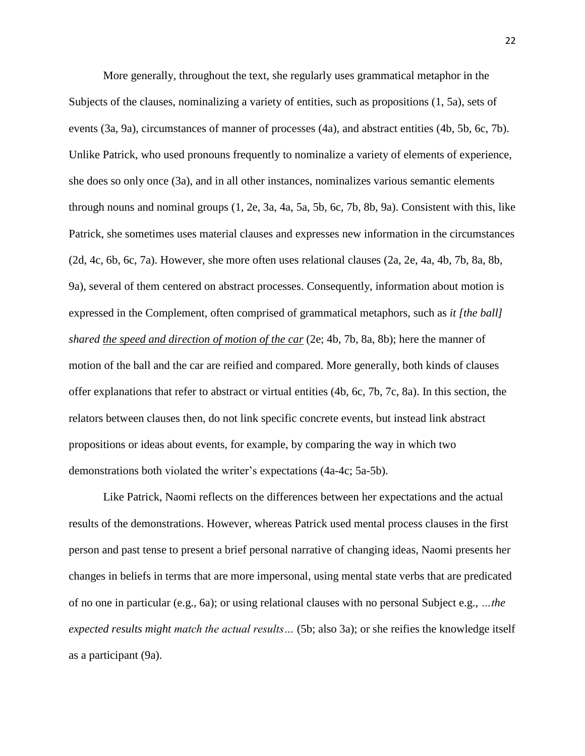More generally, throughout the text, she regularly uses grammatical metaphor in the Subjects of the clauses, nominalizing a variety of entities, such as propositions (1, 5a), sets of events (3a, 9a), circumstances of manner of processes (4a), and abstract entities (4b, 5b, 6c, 7b). Unlike Patrick, who used pronouns frequently to nominalize a variety of elements of experience, she does so only once (3a), and in all other instances, nominalizes various semantic elements through nouns and nominal groups (1, 2e, 3a, 4a, 5a, 5b, 6c, 7b, 8b, 9a). Consistent with this, like Patrick, she sometimes uses material clauses and expresses new information in the circumstances (2d, 4c, 6b, 6c, 7a). However, she more often uses relational clauses (2a, 2e, 4a, 4b, 7b, 8a, 8b, 9a), several of them centered on abstract processes. Consequently, information about motion is expressed in the Complement, often comprised of grammatical metaphors, such as *it [the ball] shared the speed and direction of motion of the car* (2e; 4b, 7b, 8a, 8b); here the manner of motion of the ball and the car are reified and compared. More generally, both kinds of clauses offer explanations that refer to abstract or virtual entities (4b, 6c, 7b, 7c, 8a). In this section, the relators between clauses then, do not link specific concrete events, but instead link abstract propositions or ideas about events, for example, by comparing the way in which two demonstrations both violated the writer's expectations (4a-4c; 5a-5b).

Like Patrick, Naomi reflects on the differences between her expectations and the actual results of the demonstrations. However, whereas Patrick used mental process clauses in the first person and past tense to present a brief personal narrative of changing ideas, Naomi presents her changes in beliefs in terms that are more impersonal, using mental state verbs that are predicated of no one in particular (e.g., 6a); or using relational clauses with no personal Subject e.g., *…the expected results might match the actual results…* (5b; also 3a); or she reifies the knowledge itself as a participant (9a).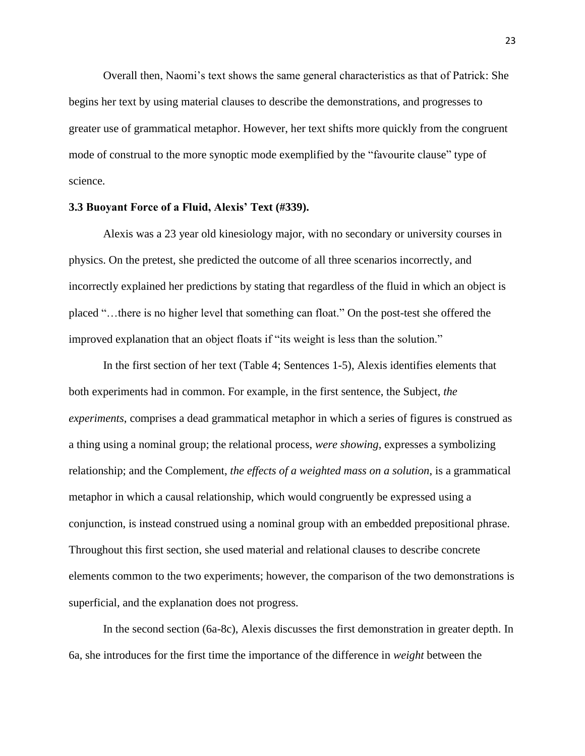Overall then, Naomi's text shows the same general characteristics as that of Patrick: She begins her text by using material clauses to describe the demonstrations, and progresses to greater use of grammatical metaphor. However, her text shifts more quickly from the congruent mode of construal to the more synoptic mode exemplified by the "favourite clause" type of science.

#### **3.3 Buoyant Force of a Fluid, Alexis' Text (#339).**

Alexis was a 23 year old kinesiology major, with no secondary or university courses in physics. On the pretest, she predicted the outcome of all three scenarios incorrectly, and incorrectly explained her predictions by stating that regardless of the fluid in which an object is placed "…there is no higher level that something can float." On the post-test she offered the improved explanation that an object floats if "its weight is less than the solution."

In the first section of her text (Table 4; Sentences 1-5), Alexis identifies elements that both experiments had in common. For example, in the first sentence, the Subject, *the experiments*, comprises a dead grammatical metaphor in which a series of figures is construed as a thing using a nominal group; the relational process, *were showing*, expresses a symbolizing relationship; and the Complement, *the effects of a weighted mass on a solution*, is a grammatical metaphor in which a causal relationship, which would congruently be expressed using a conjunction, is instead construed using a nominal group with an embedded prepositional phrase. Throughout this first section, she used material and relational clauses to describe concrete elements common to the two experiments; however, the comparison of the two demonstrations is superficial, and the explanation does not progress.

In the second section (6a-8c), Alexis discusses the first demonstration in greater depth. In 6a, she introduces for the first time the importance of the difference in *weight* between the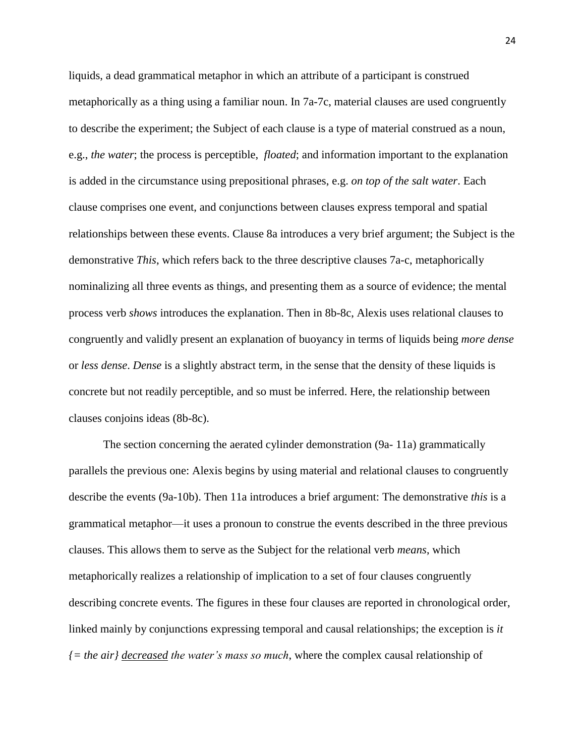liquids, a dead grammatical metaphor in which an attribute of a participant is construed metaphorically as a thing using a familiar noun. In 7a-7c, material clauses are used congruently to describe the experiment; the Subject of each clause is a type of material construed as a noun, e.g., *the water*; the process is perceptible, *floated*; and information important to the explanation is added in the circumstance using prepositional phrases, e.g. *on top of the salt water*. Each clause comprises one event, and conjunctions between clauses express temporal and spatial relationships between these events. Clause 8a introduces a very brief argument; the Subject is the demonstrative *This*, which refers back to the three descriptive clauses 7a-c, metaphorically nominalizing all three events as things, and presenting them as a source of evidence; the mental process verb *shows* introduces the explanation. Then in 8b-8c, Alexis uses relational clauses to congruently and validly present an explanation of buoyancy in terms of liquids being *more dense* or *less dense*. *Dense* is a slightly abstract term, in the sense that the density of these liquids is concrete but not readily perceptible, and so must be inferred. Here, the relationship between clauses conjoins ideas (8b-8c).

The section concerning the aerated cylinder demonstration (9a- 11a) grammatically parallels the previous one: Alexis begins by using material and relational clauses to congruently describe the events (9a-10b). Then 11a introduces a brief argument: The demonstrative *this* is a grammatical metaphor—it uses a pronoun to construe the events described in the three previous clauses. This allows them to serve as the Subject for the relational verb *means*, which metaphorically realizes a relationship of implication to a set of four clauses congruently describing concrete events. The figures in these four clauses are reported in chronological order, linked mainly by conjunctions expressing temporal and causal relationships; the exception is *it {= the air} decreased the water's mass so much*, where the complex causal relationship of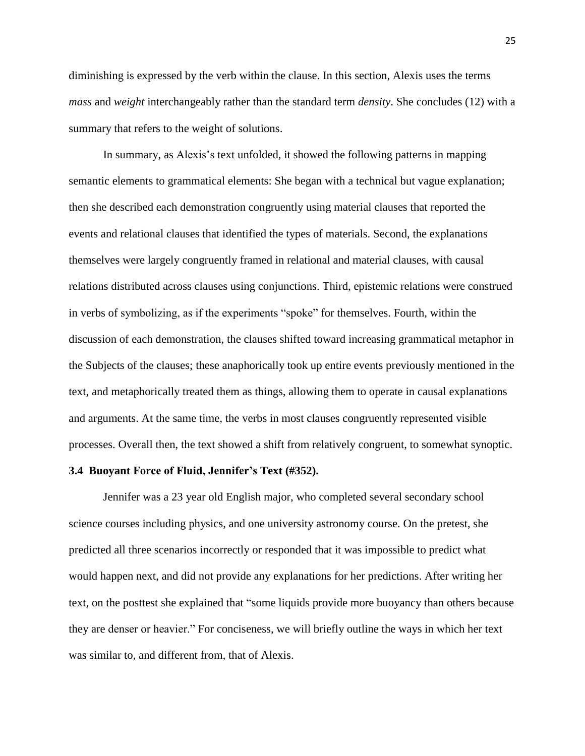diminishing is expressed by the verb within the clause. In this section, Alexis uses the terms *mass* and *weight* interchangeably rather than the standard term *density*. She concludes (12) with a summary that refers to the weight of solutions.

In summary, as Alexis's text unfolded, it showed the following patterns in mapping semantic elements to grammatical elements: She began with a technical but vague explanation; then she described each demonstration congruently using material clauses that reported the events and relational clauses that identified the types of materials. Second, the explanations themselves were largely congruently framed in relational and material clauses, with causal relations distributed across clauses using conjunctions. Third, epistemic relations were construed in verbs of symbolizing, as if the experiments "spoke" for themselves. Fourth, within the discussion of each demonstration, the clauses shifted toward increasing grammatical metaphor in the Subjects of the clauses; these anaphorically took up entire events previously mentioned in the text, and metaphorically treated them as things, allowing them to operate in causal explanations and arguments. At the same time, the verbs in most clauses congruently represented visible processes. Overall then, the text showed a shift from relatively congruent, to somewhat synoptic.

#### **3.4 Buoyant Force of Fluid, Jennifer's Text (#352).**

Jennifer was a 23 year old English major, who completed several secondary school science courses including physics, and one university astronomy course. On the pretest, she predicted all three scenarios incorrectly or responded that it was impossible to predict what would happen next, and did not provide any explanations for her predictions. After writing her text, on the posttest she explained that "some liquids provide more buoyancy than others because they are denser or heavier." For conciseness, we will briefly outline the ways in which her text was similar to, and different from, that of Alexis.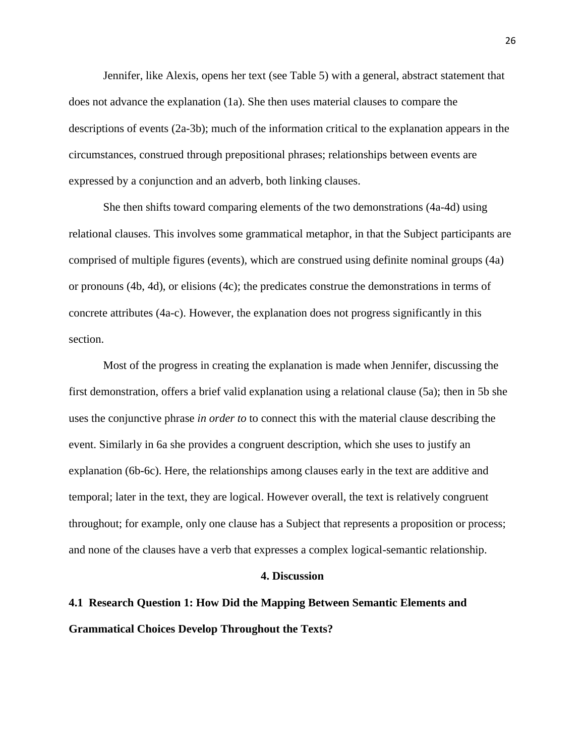Jennifer, like Alexis, opens her text (see Table 5) with a general, abstract statement that does not advance the explanation (1a). She then uses material clauses to compare the descriptions of events (2a-3b); much of the information critical to the explanation appears in the circumstances, construed through prepositional phrases; relationships between events are expressed by a conjunction and an adverb, both linking clauses.

She then shifts toward comparing elements of the two demonstrations (4a-4d) using relational clauses. This involves some grammatical metaphor, in that the Subject participants are comprised of multiple figures (events), which are construed using definite nominal groups (4a) or pronouns (4b, 4d), or elisions (4c); the predicates construe the demonstrations in terms of concrete attributes (4a-c). However, the explanation does not progress significantly in this section.

Most of the progress in creating the explanation is made when Jennifer, discussing the first demonstration, offers a brief valid explanation using a relational clause (5a); then in 5b she uses the conjunctive phrase *in order to* to connect this with the material clause describing the event. Similarly in 6a she provides a congruent description, which she uses to justify an explanation (6b-6c). Here, the relationships among clauses early in the text are additive and temporal; later in the text, they are logical. However overall, the text is relatively congruent throughout; for example, only one clause has a Subject that represents a proposition or process; and none of the clauses have a verb that expresses a complex logical-semantic relationship.

#### **4. Discussion**

# **4.1 Research Question 1: How Did the Mapping Between Semantic Elements and Grammatical Choices Develop Throughout the Texts?**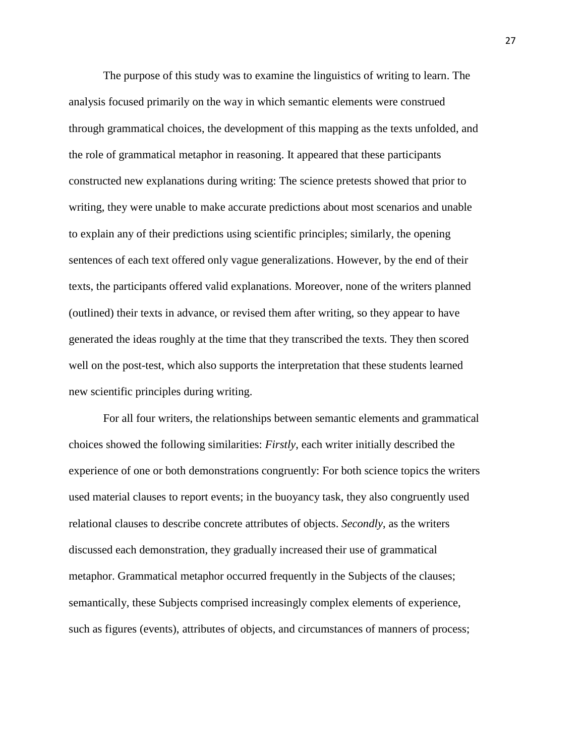The purpose of this study was to examine the linguistics of writing to learn. The analysis focused primarily on the way in which semantic elements were construed through grammatical choices, the development of this mapping as the texts unfolded, and the role of grammatical metaphor in reasoning. It appeared that these participants constructed new explanations during writing: The science pretests showed that prior to writing, they were unable to make accurate predictions about most scenarios and unable to explain any of their predictions using scientific principles; similarly, the opening sentences of each text offered only vague generalizations. However, by the end of their texts, the participants offered valid explanations. Moreover, none of the writers planned (outlined) their texts in advance, or revised them after writing, so they appear to have generated the ideas roughly at the time that they transcribed the texts. They then scored well on the post-test, which also supports the interpretation that these students learned new scientific principles during writing.

For all four writers, the relationships between semantic elements and grammatical choices showed the following similarities: *Firstly*, each writer initially described the experience of one or both demonstrations congruently: For both science topics the writers used material clauses to report events; in the buoyancy task, they also congruently used relational clauses to describe concrete attributes of objects. *Secondly*, as the writers discussed each demonstration, they gradually increased their use of grammatical metaphor. Grammatical metaphor occurred frequently in the Subjects of the clauses; semantically, these Subjects comprised increasingly complex elements of experience, such as figures (events), attributes of objects, and circumstances of manners of process;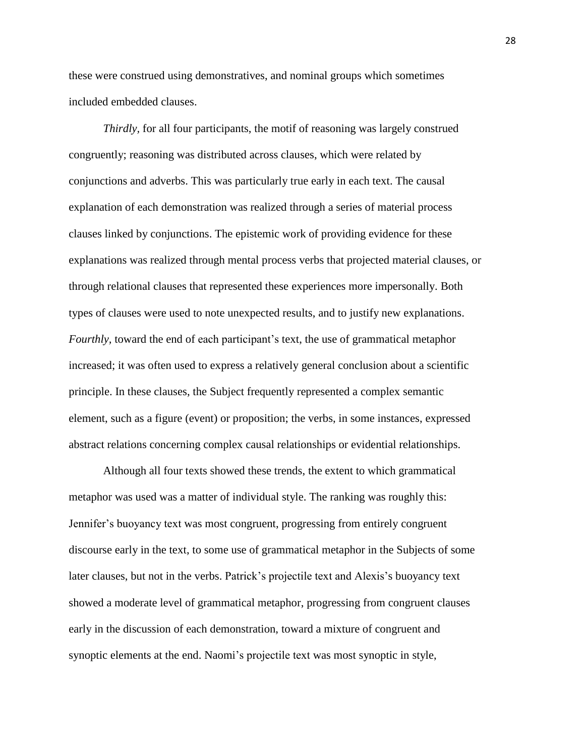these were construed using demonstratives, and nominal groups which sometimes included embedded clauses.

*Thirdly,* for all four participants, the motif of reasoning was largely construed congruently; reasoning was distributed across clauses, which were related by conjunctions and adverbs. This was particularly true early in each text. The causal explanation of each demonstration was realized through a series of material process clauses linked by conjunctions. The epistemic work of providing evidence for these explanations was realized through mental process verbs that projected material clauses, or through relational clauses that represented these experiences more impersonally. Both types of clauses were used to note unexpected results, and to justify new explanations. *Fourthly,* toward the end of each participant's text, the use of grammatical metaphor increased; it was often used to express a relatively general conclusion about a scientific principle. In these clauses, the Subject frequently represented a complex semantic element, such as a figure (event) or proposition; the verbs, in some instances, expressed abstract relations concerning complex causal relationships or evidential relationships.

Although all four texts showed these trends, the extent to which grammatical metaphor was used was a matter of individual style. The ranking was roughly this: Jennifer's buoyancy text was most congruent, progressing from entirely congruent discourse early in the text, to some use of grammatical metaphor in the Subjects of some later clauses, but not in the verbs. Patrick's projectile text and Alexis's buoyancy text showed a moderate level of grammatical metaphor, progressing from congruent clauses early in the discussion of each demonstration, toward a mixture of congruent and synoptic elements at the end. Naomi's projectile text was most synoptic in style,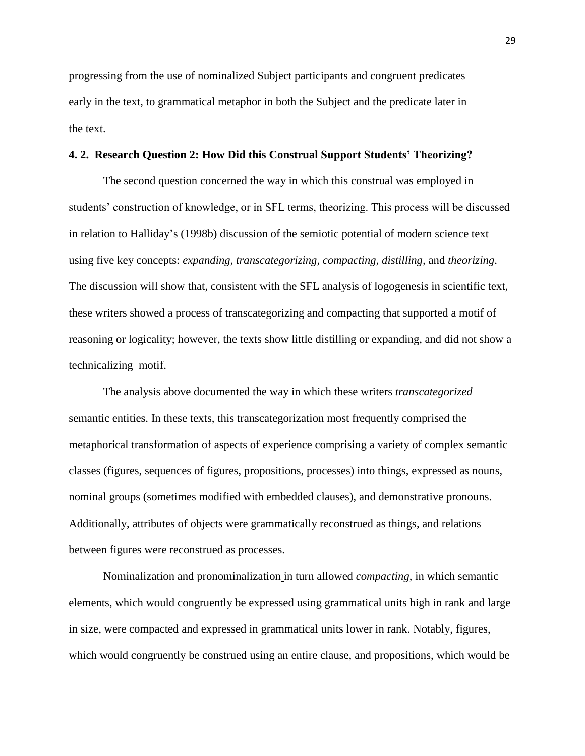progressing from the use of nominalized Subject participants and congruent predicates early in the text, to grammatical metaphor in both the Subject and the predicate later in the text.

#### **4. 2. Research Question 2: How Did this Construal Support Students' Theorizing?**

The second question concerned the way in which this construal was employed in students' construction of knowledge, or in SFL terms, theorizing. This process will be discussed in relation to Halliday's (1998b) discussion of the semiotic potential of modern science text using five key concepts: *expanding, transcategorizing, compacting, distilling,* and *theorizing*. The discussion will show that, consistent with the SFL analysis of logogenesis in scientific text, these writers showed a process of transcategorizing and compacting that supported a motif of reasoning or logicality; however, the texts show little distilling or expanding, and did not show a technicalizing motif.

The analysis above documented the way in which these writers *transcategorized* semantic entities. In these texts, this transcategorization most frequently comprised the metaphorical transformation of aspects of experience comprising a variety of complex semantic classes (figures, sequences of figures, propositions, processes) into things, expressed as nouns, nominal groups (sometimes modified with embedded clauses), and demonstrative pronouns. Additionally, attributes of objects were grammatically reconstrued as things, and relations between figures were reconstrued as processes.

Nominalization and pronominalization in turn allowed *compacting*, in which semantic elements, which would congruently be expressed using grammatical units high in rank and large in size, were compacted and expressed in grammatical units lower in rank. Notably, figures, which would congruently be construed using an entire clause, and propositions, which would be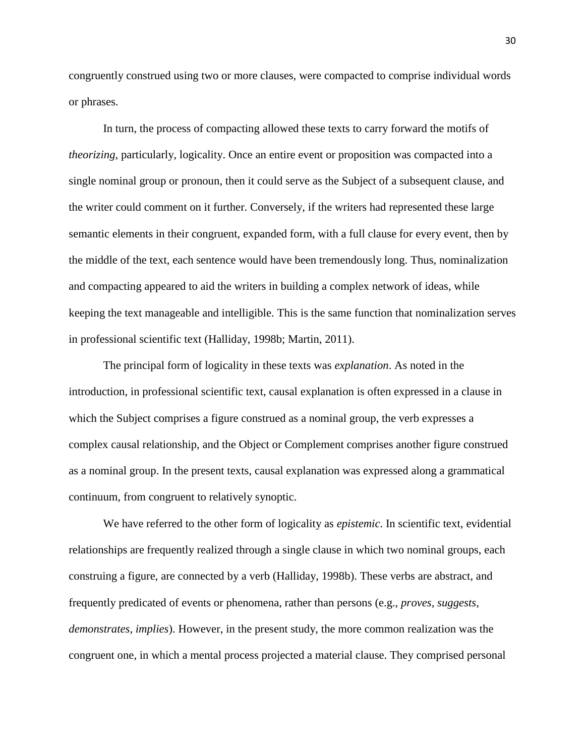congruently construed using two or more clauses, were compacted to comprise individual words or phrases.

In turn, the process of compacting allowed these texts to carry forward the motifs of *theorizing*, particularly, logicality. Once an entire event or proposition was compacted into a single nominal group or pronoun, then it could serve as the Subject of a subsequent clause, and the writer could comment on it further. Conversely, if the writers had represented these large semantic elements in their congruent, expanded form, with a full clause for every event, then by the middle of the text, each sentence would have been tremendously long. Thus, nominalization and compacting appeared to aid the writers in building a complex network of ideas, while keeping the text manageable and intelligible. This is the same function that nominalization serves in professional scientific text (Halliday, 1998b; Martin, 2011).

The principal form of logicality in these texts was *explanation*. As noted in the introduction, in professional scientific text, causal explanation is often expressed in a clause in which the Subject comprises a figure construed as a nominal group, the verb expresses a complex causal relationship, and the Object or Complement comprises another figure construed as a nominal group. In the present texts, causal explanation was expressed along a grammatical continuum, from congruent to relatively synoptic.

We have referred to the other form of logicality as *epistemic*. In scientific text, evidential relationships are frequently realized through a single clause in which two nominal groups, each construing a figure, are connected by a verb (Halliday, 1998b). These verbs are abstract, and frequently predicated of events or phenomena, rather than persons (e.g., *proves, suggests, demonstrates, implies*). However, in the present study, the more common realization was the congruent one, in which a mental process projected a material clause. They comprised personal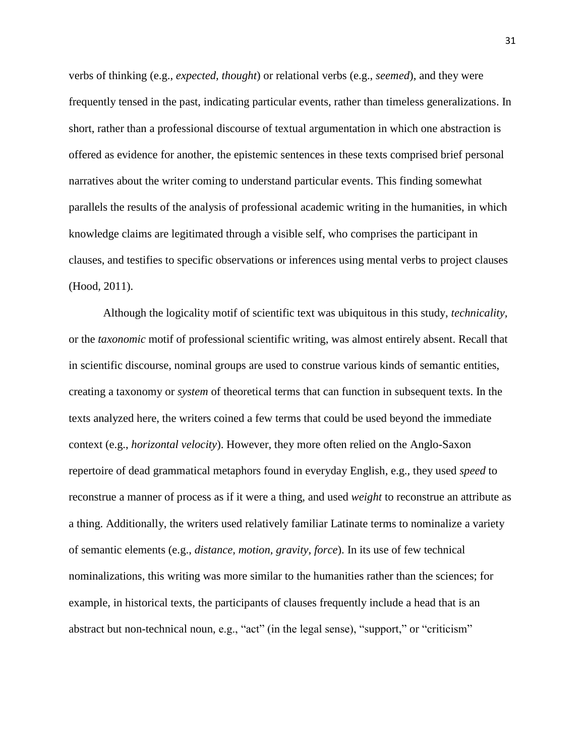verbs of thinking (e.g., *expected, thought*) or relational verbs (e.g., *seemed*), and they were frequently tensed in the past, indicating particular events, rather than timeless generalizations. In short, rather than a professional discourse of textual argumentation in which one abstraction is offered as evidence for another, the epistemic sentences in these texts comprised brief personal narratives about the writer coming to understand particular events. This finding somewhat parallels the results of the analysis of professional academic writing in the humanities, in which knowledge claims are legitimated through a visible self, who comprises the participant in clauses, and testifies to specific observations or inferences using mental verbs to project clauses (Hood, 2011).

Although the logicality motif of scientific text was ubiquitous in this study, *technicality,* or the *taxonomic* motif of professional scientific writing, was almost entirely absent. Recall that in scientific discourse, nominal groups are used to construe various kinds of semantic entities, creating a taxonomy or *system* of theoretical terms that can function in subsequent texts. In the texts analyzed here, the writers coined a few terms that could be used beyond the immediate context (e.g., *horizontal velocity*). However, they more often relied on the Anglo-Saxon repertoire of dead grammatical metaphors found in everyday English, e.g., they used *speed* to reconstrue a manner of process as if it were a thing, and used *weight* to reconstrue an attribute as a thing. Additionally, the writers used relatively familiar Latinate terms to nominalize a variety of semantic elements (e.g., *distance, motion, gravity, force*). In its use of few technical nominalizations, this writing was more similar to the humanities rather than the sciences; for example, in historical texts, the participants of clauses frequently include a head that is an abstract but non-technical noun, e.g., "act" (in the legal sense), "support," or "criticism"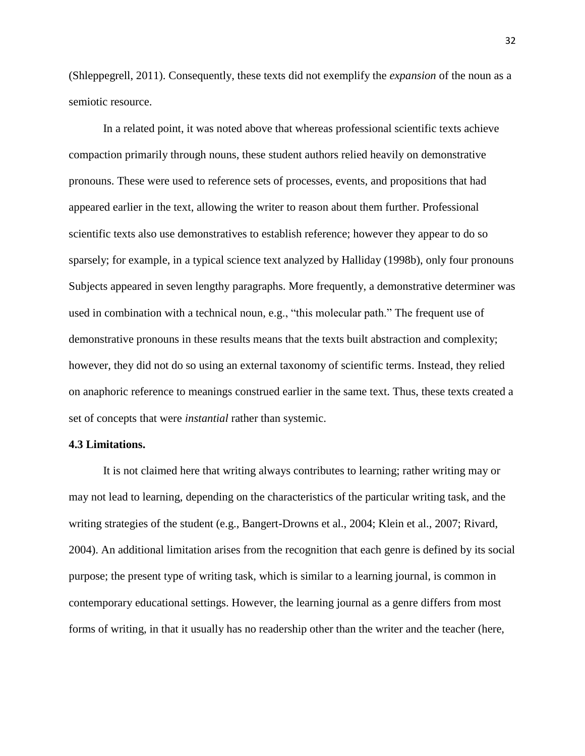(Shleppegrell, 2011). Consequently, these texts did not exemplify the *expansion* of the noun as a semiotic resource.

In a related point, it was noted above that whereas professional scientific texts achieve compaction primarily through nouns, these student authors relied heavily on demonstrative pronouns. These were used to reference sets of processes, events, and propositions that had appeared earlier in the text, allowing the writer to reason about them further. Professional scientific texts also use demonstratives to establish reference; however they appear to do so sparsely; for example, in a typical science text analyzed by Halliday (1998b), only four pronouns Subjects appeared in seven lengthy paragraphs. More frequently, a demonstrative determiner was used in combination with a technical noun, e.g., "this molecular path." The frequent use of demonstrative pronouns in these results means that the texts built abstraction and complexity; however, they did not do so using an external taxonomy of scientific terms. Instead, they relied on anaphoric reference to meanings construed earlier in the same text. Thus, these texts created a set of concepts that were *instantial* rather than systemic.

#### **4.3 Limitations.**

It is not claimed here that writing always contributes to learning; rather writing may or may not lead to learning, depending on the characteristics of the particular writing task, and the writing strategies of the student (e.g., Bangert-Drowns et al., 2004; Klein et al., 2007; Rivard, 2004). An additional limitation arises from the recognition that each genre is defined by its social purpose; the present type of writing task, which is similar to a learning journal, is common in contemporary educational settings. However, the learning journal as a genre differs from most forms of writing, in that it usually has no readership other than the writer and the teacher (here,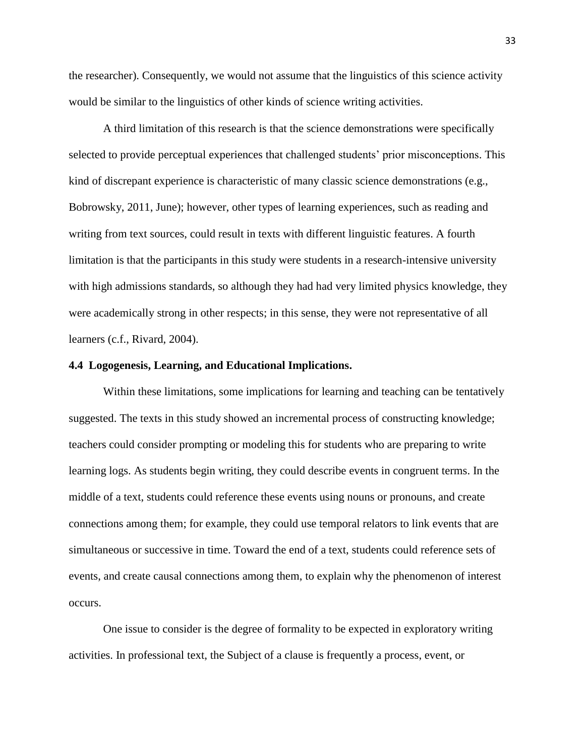the researcher). Consequently, we would not assume that the linguistics of this science activity would be similar to the linguistics of other kinds of science writing activities.

A third limitation of this research is that the science demonstrations were specifically selected to provide perceptual experiences that challenged students' prior misconceptions. This kind of discrepant experience is characteristic of many classic science demonstrations (e.g., Bobrowsky, 2011, June); however, other types of learning experiences, such as reading and writing from text sources, could result in texts with different linguistic features. A fourth limitation is that the participants in this study were students in a research-intensive university with high admissions standards, so although they had had very limited physics knowledge, they were academically strong in other respects; in this sense, they were not representative of all learners (c.f., Rivard, 2004).

#### **4.4 Logogenesis, Learning, and Educational Implications.**

Within these limitations, some implications for learning and teaching can be tentatively suggested. The texts in this study showed an incremental process of constructing knowledge; teachers could consider prompting or modeling this for students who are preparing to write learning logs. As students begin writing, they could describe events in congruent terms. In the middle of a text, students could reference these events using nouns or pronouns, and create connections among them; for example, they could use temporal relators to link events that are simultaneous or successive in time. Toward the end of a text, students could reference sets of events, and create causal connections among them, to explain why the phenomenon of interest occurs.

One issue to consider is the degree of formality to be expected in exploratory writing activities. In professional text, the Subject of a clause is frequently a process, event, or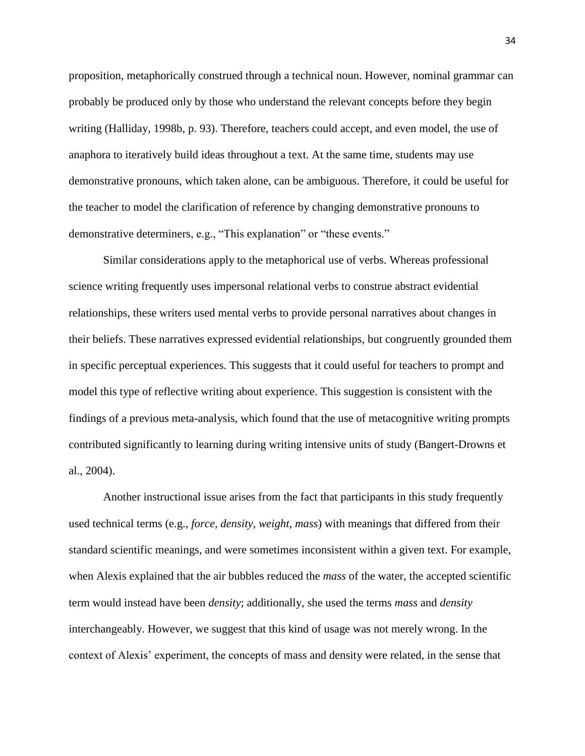proposition, metaphorically construed through a technical noun. However, nominal grammar can probably be produced only by those who understand the relevant concepts before they begin writing (Halliday, 1998b, p. 93). Therefore, teachers could accept, and even model, the use of anaphora to iteratively build ideas throughout a text. At the same time, students may use demonstrative pronouns, which taken alone, can be ambiguous. Therefore, it could be useful for the teacher to model the clarification of reference by changing demonstrative pronouns to demonstrative determiners, e.g., "This explanation" or "these events."

Similar considerations apply to the metaphorical use of verbs. Whereas professional science writing frequently uses impersonal relational verbs to construe abstract evidential relationships, these writers used mental verbs to provide personal narratives about changes in their beliefs. These narratives expressed evidential relationships, but congruently grounded them in specific perceptual experiences. This suggests that it could useful for teachers to prompt and model this type of reflective writing about experience. This suggestion is consistent with the findings of a previous meta-analysis, which found that the use of metacognitive writing prompts contributed significantly to learning during writing intensive units of study (Bangert-Drowns et al., 2004).

Another instructional issue arises from the fact that participants in this study frequently used technical terms (e.g., *force, density, weight, mass*) with meanings that differed from their standard scientific meanings, and were sometimes inconsistent within a given text. For example, when Alexis explained that the air bubbles reduced the *mass* of the water, the accepted scientific term would instead have been *density*; additionally, she used the terms *mass* and *density* interchangeably. However, we suggest that this kind of usage was not merely wrong. In the context of Alexis' experiment, the concepts of mass and density were related, in the sense that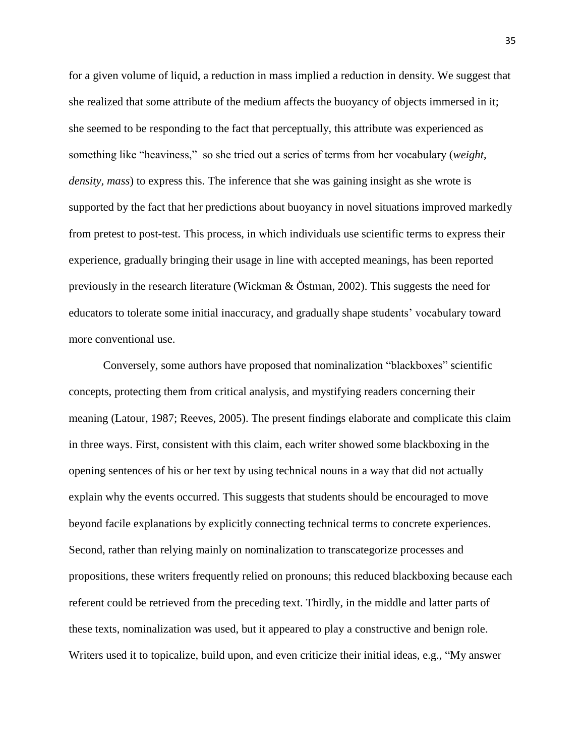for a given volume of liquid, a reduction in mass implied a reduction in density. We suggest that she realized that some attribute of the medium affects the buoyancy of objects immersed in it; she seemed to be responding to the fact that perceptually, this attribute was experienced as something like "heaviness," so she tried out a series of terms from her vocabulary (*weight, density, mass*) to express this. The inference that she was gaining insight as she wrote is supported by the fact that her predictions about buoyancy in novel situations improved markedly from pretest to post-test. This process, in which individuals use scientific terms to express their experience, gradually bringing their usage in line with accepted meanings, has been reported previously in the research literature (Wickman & Östman, 2002). This suggests the need for educators to tolerate some initial inaccuracy, and gradually shape students' vocabulary toward more conventional use.

Conversely, some authors have proposed that nominalization "blackboxes" scientific concepts, protecting them from critical analysis, and mystifying readers concerning their meaning (Latour, 1987; Reeves, 2005). The present findings elaborate and complicate this claim in three ways. First, consistent with this claim, each writer showed some blackboxing in the opening sentences of his or her text by using technical nouns in a way that did not actually explain why the events occurred. This suggests that students should be encouraged to move beyond facile explanations by explicitly connecting technical terms to concrete experiences. Second, rather than relying mainly on nominalization to transcategorize processes and propositions, these writers frequently relied on pronouns; this reduced blackboxing because each referent could be retrieved from the preceding text. Thirdly, in the middle and latter parts of these texts, nominalization was used, but it appeared to play a constructive and benign role. Writers used it to topicalize, build upon, and even criticize their initial ideas, e.g., "My answer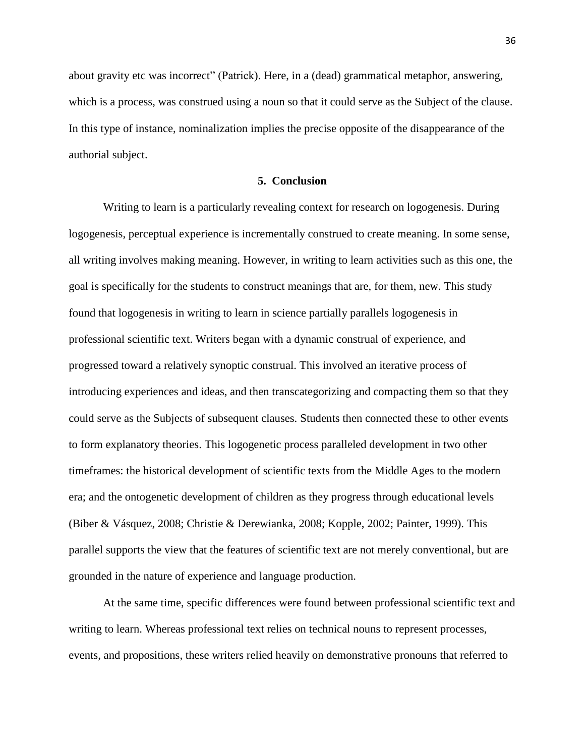about gravity etc was incorrect" (Patrick). Here, in a (dead) grammatical metaphor, answering, which is a process, was construed using a noun so that it could serve as the Subject of the clause. In this type of instance, nominalization implies the precise opposite of the disappearance of the authorial subject.

#### **5. Conclusion**

Writing to learn is a particularly revealing context for research on logogenesis. During logogenesis, perceptual experience is incrementally construed to create meaning. In some sense, all writing involves making meaning. However, in writing to learn activities such as this one, the goal is specifically for the students to construct meanings that are, for them, new. This study found that logogenesis in writing to learn in science partially parallels logogenesis in professional scientific text. Writers began with a dynamic construal of experience, and progressed toward a relatively synoptic construal. This involved an iterative process of introducing experiences and ideas, and then transcategorizing and compacting them so that they could serve as the Subjects of subsequent clauses. Students then connected these to other events to form explanatory theories. This logogenetic process paralleled development in two other timeframes: the historical development of scientific texts from the Middle Ages to the modern era; and the ontogenetic development of children as they progress through educational levels (Biber & Vásquez, 2008; Christie & Derewianka, 2008; Kopple, 2002; Painter, 1999). This parallel supports the view that the features of scientific text are not merely conventional, but are grounded in the nature of experience and language production.

At the same time, specific differences were found between professional scientific text and writing to learn. Whereas professional text relies on technical nouns to represent processes, events, and propositions, these writers relied heavily on demonstrative pronouns that referred to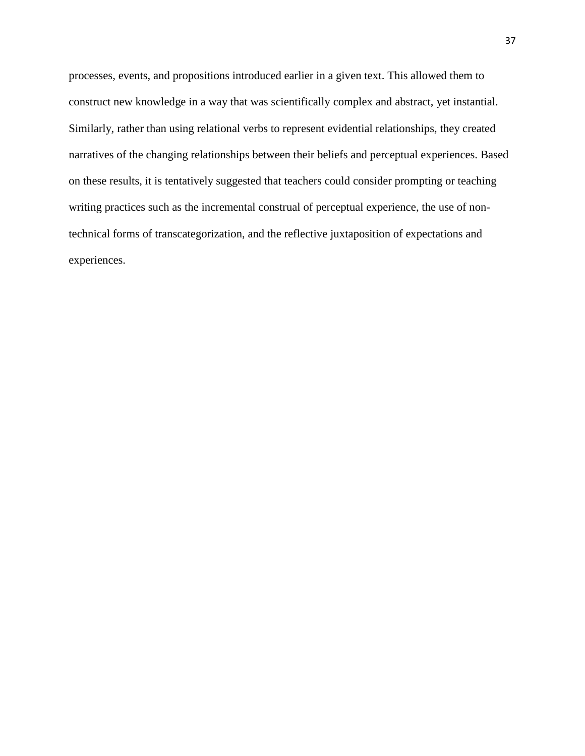processes, events, and propositions introduced earlier in a given text. This allowed them to construct new knowledge in a way that was scientifically complex and abstract, yet instantial. Similarly, rather than using relational verbs to represent evidential relationships, they created narratives of the changing relationships between their beliefs and perceptual experiences. Based on these results, it is tentatively suggested that teachers could consider prompting or teaching writing practices such as the incremental construal of perceptual experience, the use of nontechnical forms of transcategorization, and the reflective juxtaposition of expectations and experiences.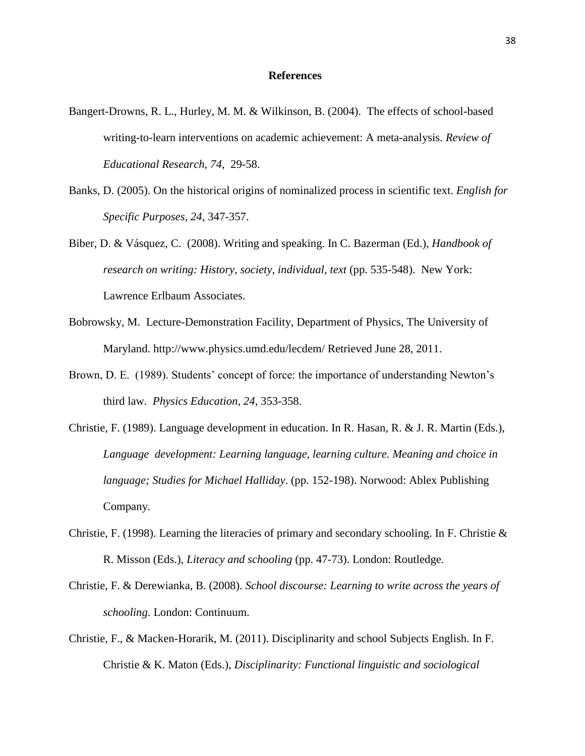#### **References**

- Bangert-Drowns, R. L., Hurley, M. M. & Wilkinson, B. (2004). The effects of school-based writing-to-learn interventions on academic achievement: A meta-analysis. *Review of Educational Research, 74*, 29-58.
- Banks, D. (2005). On the historical origins of nominalized process in scientific text. *English for Specific Purposes, 24*, 347-357.
- Biber, D. & Vásquez, C. (2008). Writing and speaking. In C. Bazerman (Ed.), *Handbook of research on writing: History, society, individual, text* (pp. 535-548). New York: Lawrence Erlbaum Associates.
- Bobrowsky, M. Lecture-Demonstration Facility, Department of Physics, The University of Maryland. http://www.physics.umd.edu/lecdem/ Retrieved June 28, 2011.
- Brown, D. E. (1989). Students' concept of force: the importance of understanding Newton's third law. *Physics Education, 24*, 353-358.
- Christie, F. (1989). Language development in education. In R. Hasan, R. & J. R. Martin (Eds.), *Language development: Learning language, learning culture. Meaning and choice in language; Studies for Michael Halliday*. (pp. 152-198). Norwood: Ablex Publishing Company.
- Christie, F. (1998). Learning the literacies of primary and secondary schooling. In F. Christie & R. Misson (Eds.), *Literacy and schooling* (pp. 47-73). London: Routledge.
- Christie, F. & Derewianka, B. (2008). *School discourse: Learning to write across the years of schooling*. London: Continuum.
- Christie, F., & Macken-Horarik, M. (2011). Disciplinarity and school Subjects English. In F. Christie & K. Maton (Eds.), *Disciplinarity: Functional linguistic and sociological*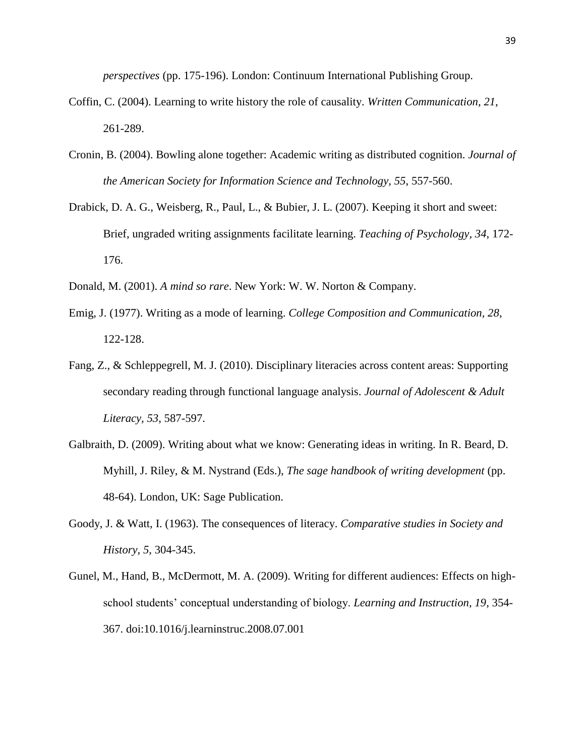*perspectives* (pp. 175-196). London: Continuum International Publishing Group.

- Coffin, C. (2004). Learning to write history the role of causality. *Written Communication*, *21*, 261-289.
- Cronin, B. (2004). Bowling alone together: Academic writing as distributed cognition. *Journal of the American Society for Information Science and Technology, 55*, 557-560.
- Drabick, D. A. G., Weisberg, R., Paul, L., & Bubier, J. L. (2007). Keeping it short and sweet: Brief, ungraded writing assignments facilitate learning. *Teaching of Psychology, 34*, 172- 176.
- Donald, M. (2001). *A mind so rare*. New York: W. W. Norton & Company.
- Emig, J. (1977). Writing as a mode of learning. *College Composition and Communication, 28*, 122-128.
- Fang, Z., & Schleppegrell, M. J. (2010). Disciplinary literacies across content areas: Supporting secondary reading through functional language analysis. *Journal of Adolescent & Adult Literacy, 53*, 587-597.
- Galbraith, D. (2009). Writing about what we know: Generating ideas in writing. In R. Beard, D. Myhill, J. Riley, & M. Nystrand (Eds.), *The sage handbook of writing development* (pp. 48-64). London, UK: Sage Publication.
- Goody, J. & Watt, I. (1963). The consequences of literacy. *Comparative studies in Society and History, 5*, 304-345.
- Gunel, M., Hand, B., McDermott, M. A. (2009). Writing for different audiences: Effects on highschool students' conceptual understanding of biology. *Learning and Instruction, 19*, 354- 367. doi:10.1016/j.learninstruc.2008.07.001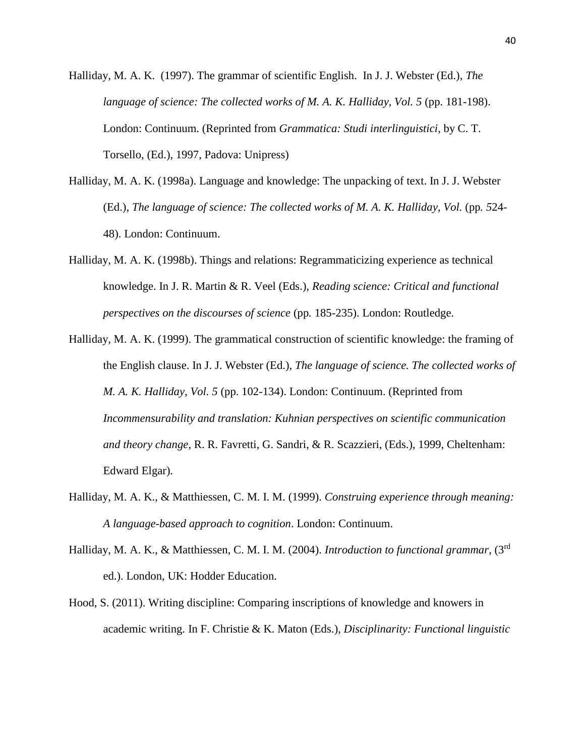Halliday, M. A. K. (1997). The grammar of scientific English. In J. J. Webster (Ed.), *The language of science: The collected works of M. A. K. Halliday, Vol. 5* (pp. 181-198). London: Continuum. (Reprinted from *Grammatica: Studi interlinguistici*, by C. T. Torsello, (Ed.), 1997, Padova: Unipress)

- Halliday, M. A. K. (1998a). Language and knowledge: The unpacking of text. In J. J. Webster (Ed.), *The language of science: The collected works of M. A. K. Halliday, Vol.* (pp*. 5*24- 48). London: Continuum.
- Halliday, M. A. K. (1998b). Things and relations: Regrammaticizing experience as technical knowledge. In J. R. Martin & R. Veel (Eds.), *Reading science: Critical and functional perspectives on the discourses of science* (pp. 185-235). London: Routledge.
- Halliday, M. A. K. (1999). The grammatical construction of scientific knowledge: the framing of the English clause. In J. J. Webster (Ed.), *The language of science. The collected works of M. A. K. Halliday, Vol. 5* (pp. 102-134). London: Continuum. (Reprinted from *Incommensurability and translation: Kuhnian perspectives on scientific communication and theory change*, R. R. Favretti, G. Sandri, & R. Scazzieri, (Eds.), 1999, Cheltenham: Edward Elgar).
- Halliday, M. A. K., & Matthiessen, C. M. I. M. (1999). *Construing experience through meaning: A language-based approach to cognition*. London: Continuum.
- Halliday, M. A. K., & Matthiessen, C. M. I. M. (2004). *Introduction to functional grammar*, (3rd ed.). London, UK: Hodder Education.
- Hood, S. (2011). Writing discipline: Comparing inscriptions of knowledge and knowers in academic writing. In F. Christie & K. Maton (Eds.), *Disciplinarity: Functional linguistic*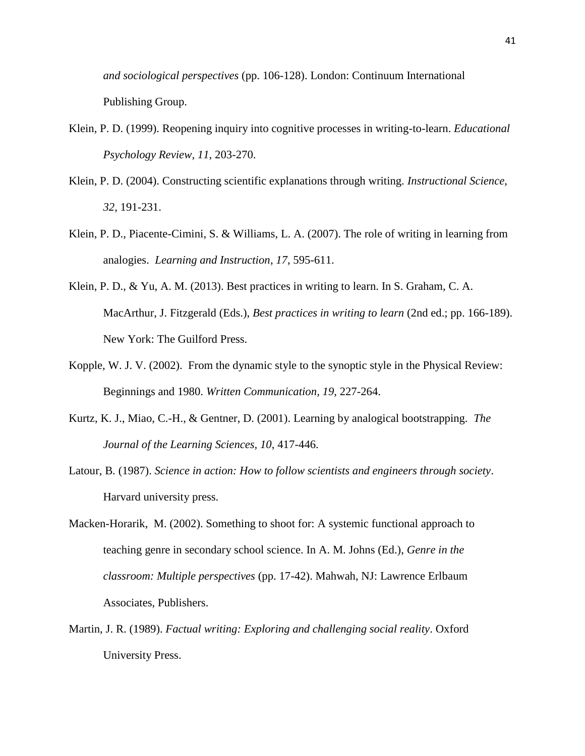*and sociological perspectives* (pp. 106-128). London: Continuum International Publishing Group.

- Klein, P. D. (1999). Reopening inquiry into cognitive processes in writing-to-learn. *Educational Psychology Review, 11*, 203-270.
- Klein, P. D. (2004). Constructing scientific explanations through writing. *Instructional Science*, *32*, 191-231.
- Klein, P. D., Piacente-Cimini, S. & Williams, L. A. (2007). The role of writing in learning from analogies. *Learning and Instruction*, *17*, 595-611.
- Klein, P. D., & Yu, A. M. (2013). Best practices in writing to learn. In S. Graham, C. A. MacArthur, J. Fitzgerald (Eds.), *Best practices in writing to learn* (2nd ed.; pp. 166-189). New York: The Guilford Press.
- Kopple, W. J. V. (2002). From the dynamic style to the synoptic style in the Physical Review: Beginnings and 1980. *Written Communication, 19*, 227-264.
- Kurtz, K. J., Miao, C.-H., & Gentner, D. (2001). Learning by analogical bootstrapping. *The Journal of the Learning Sciences, 10*, 417-446.
- Latour, B. (1987). *Science in action: How to follow scientists and engineers through society*. Harvard university press.
- Macken-Horarik, M. (2002). Something to shoot for: A systemic functional approach to teaching genre in secondary school science. In A. M. Johns (Ed.), *Genre in the classroom: Multiple perspectives* (pp. 17-42). Mahwah, NJ: Lawrence Erlbaum Associates, Publishers.
- Martin, J. R. (1989). *Factual writing: Exploring and challenging social reality*. Oxford University Press.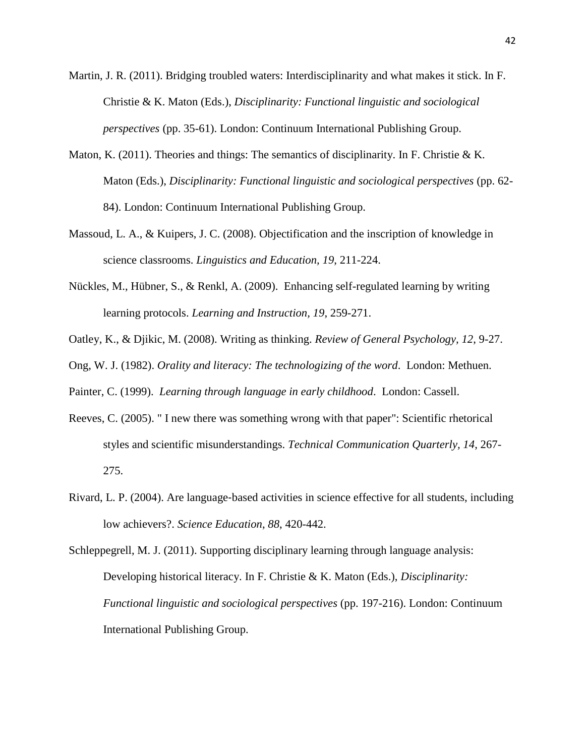- Martin, J. R. (2011). Bridging troubled waters: Interdisciplinarity and what makes it stick. In F. Christie & K. Maton (Eds.), *Disciplinarity: Functional linguistic and sociological perspectives* (pp. 35-61). London: Continuum International Publishing Group.
- Maton, K. (2011). Theories and things: The semantics of disciplinarity. In F. Christie & K. Maton (Eds.), *Disciplinarity: Functional linguistic and sociological perspectives* (pp. 62- 84). London: Continuum International Publishing Group.
- Massoud, L. A., & Kuipers, J. C. (2008). Objectification and the inscription of knowledge in science classrooms. *Linguistics and Education, 19*, 211-224.
- Nückles, M., Hübner, S., & Renkl, A. (2009). Enhancing self-regulated learning by writing learning protocols. *Learning and Instruction, 19*, 259-271.
- Oatley, K., & Djikic, M. (2008). Writing as thinking. *Review of General Psychology, 12*, 9-27.
- Ong, W. J. (1982). *Orality and literacy: The technologizing of the word*. London: Methuen.
- Painter, C. (1999). *Learning through language in early childhood*. London: Cassell.
- Reeves, C. (2005). " I new there was something wrong with that paper": Scientific rhetorical styles and scientific misunderstandings. *Technical Communication Quarterly, 14*, 267- 275.
- Rivard, L. P. (2004). Are language‐based activities in science effective for all students, including low achievers?. *Science Education*, *88*, 420-442.

Schleppegrell, M. J. (2011). Supporting disciplinary learning through language analysis: Developing historical literacy. In F. Christie & K. Maton (Eds.), *Disciplinarity: Functional linguistic and sociological perspectives* (pp. 197-216). London: Continuum International Publishing Group.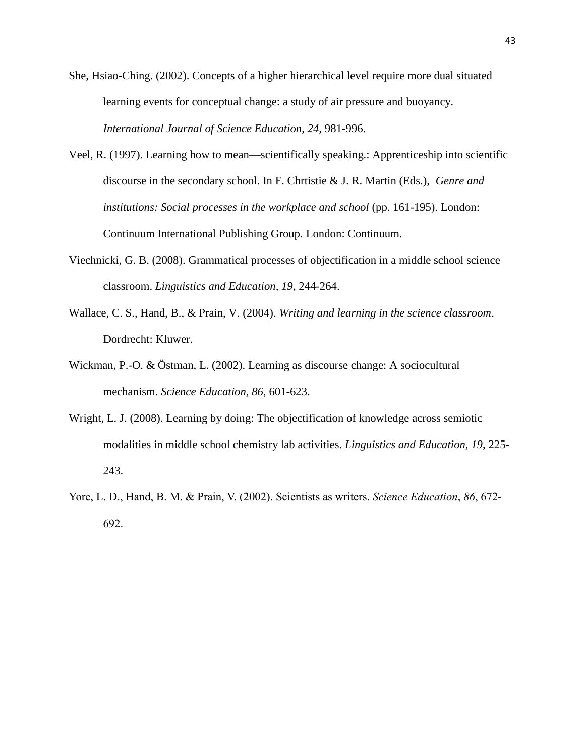- She, Hsiao-Ching. (2002). Concepts of a higher hierarchical level require more dual situated learning events for conceptual change: a study of air pressure and buoyancy. *International Journal of Science Education, 24,* 981-996.
- Veel, R. (1997). Learning how to mean—scientifically speaking.: Apprenticeship into scientific discourse in the secondary school. In F. Chrtistie & J. R. Martin (Eds.), *Genre and institutions: Social processes in the workplace and school* (pp. 161-195). London: Continuum International Publishing Group. London: Continuum.
- Viechnicki, G. B. (2008). Grammatical processes of objectification in a middle school science classroom. *Linguistics and Education, 19*, 244-264.
- Wallace, C. S., Hand, B., & Prain, V. (2004). *Writing and learning in the science classroom*. Dordrecht: Kluwer.
- Wickman, P.-O. & Östman, L. (2002). Learning as discourse change: A sociocultural mechanism. *Science Education, 86*, 601-623.
- Wright, L. J. (2008). Learning by doing: The objectification of knowledge across semiotic modalities in middle school chemistry lab activities. *Linguistics and Education, 19*, 225- 243.
- Yore, L. D., Hand, B. M. & Prain, V. (2002). Scientists as writers. *Science Education*, *86*, 672- 692.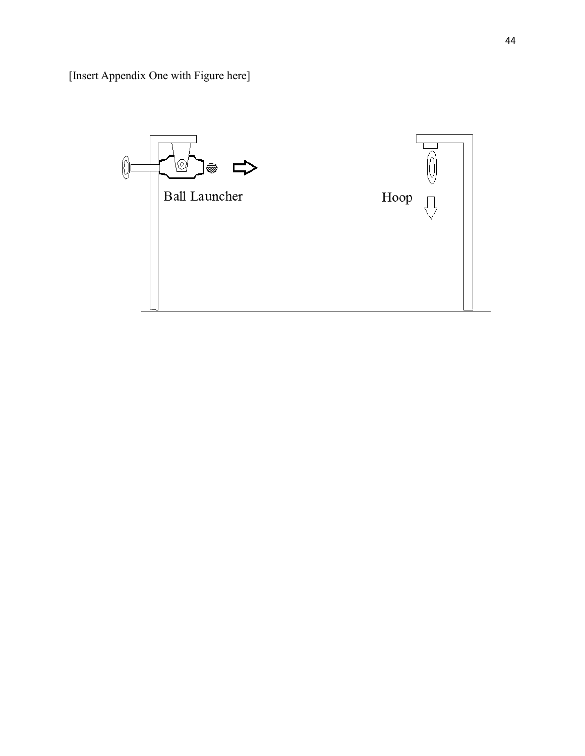[Insert Appendix One with Figure here]